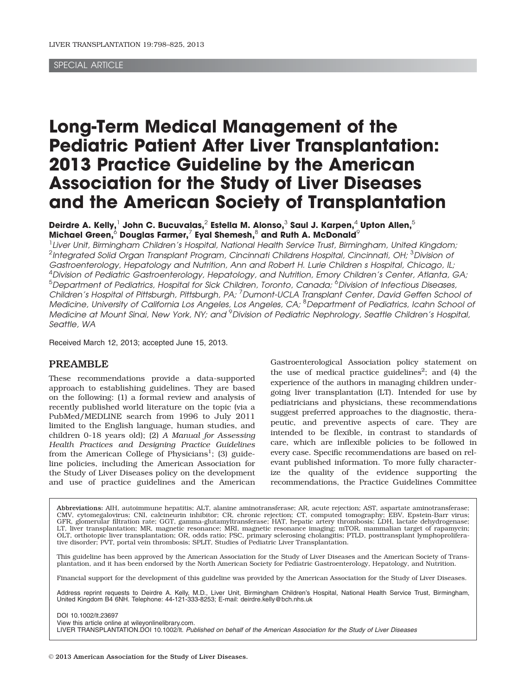# SPECIAL ARTICLE

# Long-Term Medical Management of the Pediatric Patient After Liver Transplantation: 2013 Practice Guideline by the American Association for the Study of Liver Diseases and the American Society of Transplantation

Deirdre A. Kelly, $^1$  John C. Bucuvalas, $^2$  Estella M. Alonso, $^3$  Saul J. Karpen, $^4$  Upton Allen, $^5$ Michael Green, $^6$  Douglas Farmer, $^7$  Eyal Shemesh, $^8$  and Ruth A. McDonald $^9$ 

<sup>1</sup> Liver Unit, Birmingham Children's Hospital, National Health Service Trust, Birmingham, United Kingdom;  $^2$ Integrated Solid Organ Transplant Program, Cincinnati Childrens Hospital, Cincinnati, OH;  $^3$ Division ot Gastroenterology, Hepatology and Nutrition, Ann and Robert H. Lurie Children s Hospital, Chicago, IL; <sup>4</sup> Division of Pediatric Gastroenterology, Hepatology, and Nutrition, Emory Children's Center, Atlanta, GA; <sup>5</sup>Department of Pediatrics, Hospital for Sick Children, Toronto, Canada; <sup>6</sup>Division of Infectious Diseases, Children's Hospital of Pittsburgh, Pittsburgh, PA; <sup>7</sup> Dumont-UCLA Transplant Center, David Geffen School ot Medicine, University of California Los Angeles, Los Angeles, CA; <sup>8</sup> Department of Pediatrics, Icahn School ot Medicine at Mount Sinai, New York, NY; and <sup>9</sup> Division of Pediatric Nephrology, Seattle Children's Hospital, Seattle, WA

Received March 12, 2013; accepted June 15, 2013.

# PREAMBLE

These recommendations provide a data-supported approach to establishing guidelines. They are based on the following: (1) a formal review and analysis of recently published world literature on the topic (via a PubMed/MEDLINE search from 1996 to July 2011 limited to the English language, human studies, and children 0-18 years old); (2) A Manual for Assessing Health Practices and Designing Practice Guidelines from the American College of Physicians<sup>1</sup>; (3) guideline policies, including the American Association for the Study of Liver Diseases policy on the development and use of practice guidelines and the American

Gastroenterological Association policy statement on the use of medical practice guidelines<sup>2</sup>; and  $(4)$  the experience of the authors in managing children undergoing liver transplantation (LT). Intended for use by pediatricians and physicians, these recommendations suggest preferred approaches to the diagnostic, therapeutic, and preventive aspects of care. They are intended to be flexible, in contrast to standards of care, which are inflexible policies to be followed in every case. Specific recommendations are based on relevant published information. To more fully characterize the quality of the evidence supporting the recommendations, the Practice Guidelines Committee

Abbreviations: AIH, autoimmune hepatitis; ALT, alanine aminotransferase; AR, acute rejection; AST, aspartate aminotransferase; CMV, cytomegalovirus; CNI, calcineurin inhibitor; CR, chronic rejection; CT, computed tomography; EBV, Epstein-Barr virus;<br>GFR, glomerular filtration rate; GGT, gamma-glutamyltransferase; HAT, hepatic artery thrombosis; LD LT, liver transplantation; MR, magnetic resonance; MRI, magnetic resonance imaging; mTOR, mammalian target of rapamycin; OLT, orthotopic liver transplantation; OR, odds ratio; PSC, primary sclerosing cholangitis; PTLD, posttransplant lymphoprolifera-tive disorder; PVT, portal vein thrombosis; SPLIT, Studies of Pediatric Liver Transplantation.

This guideline has been approved by the American Association for the Study of Liver Diseases and the American Society of Trans-<br>plantation, and it has been endorsed by the North American Society for Pediatric Gastroenterol

Financial support for the development of this guideline was provided by the American Association for the Study of Liver Diseases.

Address reprint requests to Deirdre A. Kelly, M.D., Liver Unit, Birmingham Children's Hospital, National Health Service Trust, Birmingham, United Kingdom B4 6NH. Telephone: 44-121-333-8253; E-mail: deirdre.kelly@bch.nhs.uk

DOI 10.1002/lt.23697

View this article online at wileyonlinelibrary.com.

LIVER TRANSPLANTATION.DOI 10.1002/lt. Published on behalf of the American Association for the Study of Liver Diseases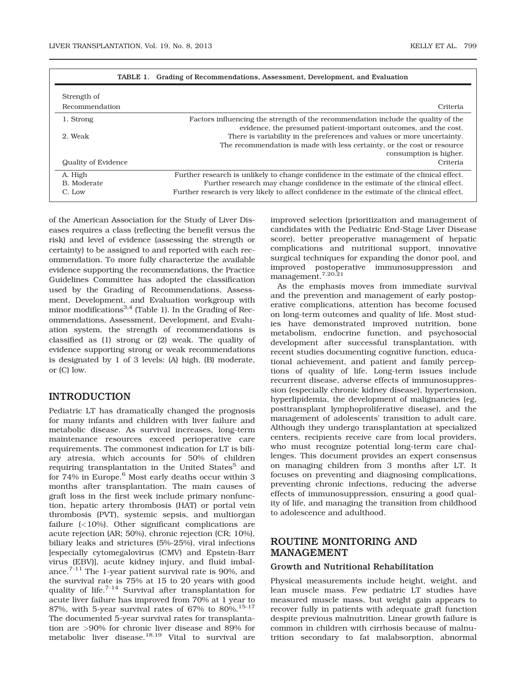| TABLE 1.<br>Grading of Recommendations, Assessment, Development, and Evaluation |                                                                                                                                                                                                                                                                             |  |  |  |
|---------------------------------------------------------------------------------|-----------------------------------------------------------------------------------------------------------------------------------------------------------------------------------------------------------------------------------------------------------------------------|--|--|--|
| Strength of                                                                     |                                                                                                                                                                                                                                                                             |  |  |  |
| Recommendation                                                                  | Criteria                                                                                                                                                                                                                                                                    |  |  |  |
| 1. Strong                                                                       | Factors influencing the strength of the recommendation include the quality of the<br>evidence, the presumed patient-important outcomes, and the cost.                                                                                                                       |  |  |  |
| 2. Weak                                                                         | There is variability in the preferences and values or more uncertainty.<br>The recommendation is made with less certainty, or the cost or resource<br>consumption is higher.                                                                                                |  |  |  |
| Quality of Evidence                                                             | Criteria                                                                                                                                                                                                                                                                    |  |  |  |
| A. High<br>B. Moderate<br>C. Low                                                | Further research is unlikely to change confidence in the estimate of the clinical effect.<br>Further research may change confidence in the estimate of the clinical effect.<br>Further research is very likely to affect confidence in the estimate of the clinical effect. |  |  |  |

TABLE 1. Grading of Recommendations, Assessment, Development, and Evaluation

of the American Association for the Study of Liver Diseases requires a class (reflecting the benefit versus the risk) and level of evidence (assessing the strength or certainty) to be assigned to and reported with each recommendation. To more fully characterize the available evidence supporting the recommendations, the Practice Guidelines Committee has adopted the classification used by the Grading of Recommendations, Assessment, Development, and Evaluation workgroup with minor modifications<sup>3,4</sup> (Table 1). In the Grading of Recommendations, Assessment, Development, and Evaluation system, the strength of recommendations is classified as (1) strong or (2) weak. The quality of evidence supporting strong or weak recommendations is designated by 1 of 3 levels: (A) high, (B) moderate, or (C) low.

# INTRODUCTION

Pediatric LT has dramatically changed the prognosis for many infants and children with liver failure and metabolic disease. As survival increases, long-term maintenance resources exceed perioperative care requirements. The commonest indication for LT is biliary atresia, which accounts for 50% of children requiring transplantation in the United States<sup>5</sup> and for 74% in Europe.<sup>6</sup> Most early deaths occur within 3 months after transplantation. The main causes of graft loss in the first week include primary nonfunction, hepatic artery thrombosis (HAT) or portal vein thrombosis (PVT), systemic sepsis, and multiorgan failure (<10%). Other significant complications are acute rejection (AR; 50%), chronic rejection (CR; 10%), biliary leaks and strictures (5%-25%), viral infections [especially cytomegalovirus (CMV) and Epstein-Barr virus (EBV)], acute kidney injury, and fluid imbalance.7-11 The 1-year patient survival rate is 90%, and the survival rate is 75% at 15 to 20 years with good quality of life.<sup>7-14</sup> Survival after transplantation for acute liver failure has improved from 70% at 1 year to 87%, with 5-year survival rates of 67% to 80%.<sup>15-17</sup> The documented 5-year survival rates for transplantation are >90% for chronic liver disease and 89% for metabolic liver disease.<sup>18,19</sup> Vital to survival are

improved selection (prioritization and management of candidates with the Pediatric End-Stage Liver Disease score), better preoperative management of hepatic complications and nutritional support, innovative surgical techniques for expanding the donor pool, and improved postoperative immunosuppression and management.7,20,21

As the emphasis moves from immediate survival and the prevention and management of early postoperative complications, attention has become focused on long-term outcomes and quality of life. Most studies have demonstrated improved nutrition, bone metabolism, endocrine function, and psychosocial development after successful transplantation, with recent studies documenting cognitive function, educational achievement, and patient and family perceptions of quality of life. Long-term issues include recurrent disease, adverse effects of immunosuppression (especially chronic kidney disease), hypertension, hyperlipidemia, the development of malignancies (eg, posttransplant lymphoproliferative disease), and the management of adolescents' transition to adult care. Although they undergo transplantation at specialized centers, recipients receive care from local providers, who must recognize potential long-term care challenges. This document provides an expert consensus on managing children from 3 months after LT. It focuses on preventing and diagnosing complications, preventing chronic infections, reducing the adverse effects of immunosuppression, ensuring a good quality of life, and managing the transition from childhood to adolescence and adulthood.

# ROUTINE MONITORING AND MANAGEMENT

# Growth and Nutritional Rehabilitation

Physical measurements include height, weight, and lean muscle mass. Few pediatric LT studies have measured muscle mass, but weight gain appears to recover fully in patients with adequate graft function despite previous malnutrition. Linear growth failure is common in children with cirrhosis because of malnutrition secondary to fat malabsorption, abnormal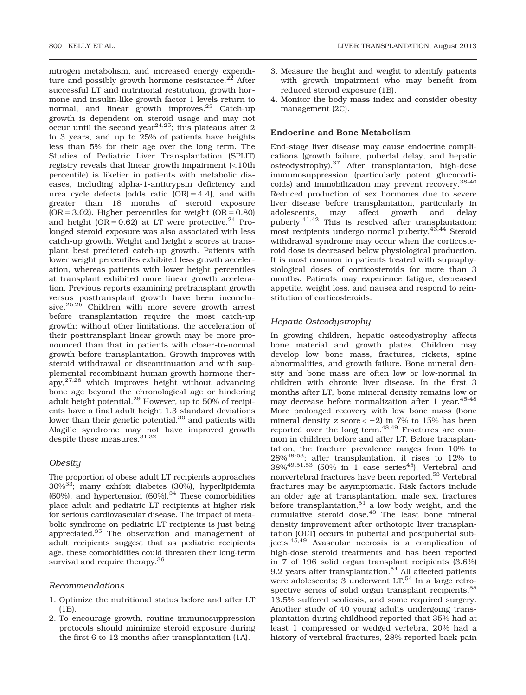nitrogen metabolism, and increased energy expenditure and possibly growth hormone resistance. $^{22}$  After successful LT and nutritional restitution, growth hormone and insulin-like growth factor 1 levels return to normal, and linear growth improves.<sup>23</sup> Catch-up growth is dependent on steroid usage and may not  $\frac{1}{2}$  occur until the second year<sup>24,25</sup>; this plateaus after 2 to 3 years, and up to 25% of patients have heights less than 5% for their age over the long term. The Studies of Pediatric Liver Transplantation (SPLIT) registry reveals that linear growth impairment (<10th percentile) is likelier in patients with metabolic diseases, including alpha-1-antitrypsin deficiency and urea cycle defects  $[odds \text{ ratio } (OR) = 4.4]$ , and with greater than 18 months of steroid exposure  $(OR = 3.02)$ . Higher percentiles for weight  $(OR = 0.80)$ and height  $(OR = 0.62)$  at LT were protective.<sup>24</sup> Prolonged steroid exposure was also associated with less catch-up growth. Weight and height z scores at transplant best predicted catch-up growth. Patients with lower weight percentiles exhibited less growth acceleration, whereas patients with lower height percentiles at transplant exhibited more linear growth acceleration. Previous reports examining pretransplant growth versus posttransplant growth have been inconclusive.25,26 Children with more severe growth arrest before transplantation require the most catch-up growth; without other limitations, the acceleration of their posttransplant linear growth may be more pronounced than that in patients with closer-to-normal growth before transplantation. Growth improves with steroid withdrawal or discontinuation and with supplemental recombinant human growth hormone therapy,27,28 which improves height without advancing bone age beyond the chronological age or hindering adult height potential.<sup>29</sup> However, up to 50% of recipients have a final adult height 1.3 standard deviations lower than their genetic potential, $30$  and patients with Alagille syndrome may not have improved growth despite these measures.<sup>31,32</sup>

#### **Obesity**

The proportion of obese adult LT recipients approaches 30%33; many exhibit diabetes (30%), hyperlipidemia  $(60\%)$ , and hypertension  $(60\%)$ .<sup>34</sup> These comorbidities place adult and pediatric LT recipients at higher risk for serious cardiovascular disease. The impact of metabolic syndrome on pediatric LT recipients is just being appreciated.<sup>35</sup> The observation and management of adult recipients suggest that as pediatric recipients age, these comorbidities could threaten their long-term survival and require therapy.<sup>36</sup>

#### Recommendations

- 1. Optimize the nutritional status before and after LT (1B).
- 2. To encourage growth, routine immunosuppression protocols should minimize steroid exposure during the first 6 to 12 months after transplantation (1A).
- 3. Measure the height and weight to identify patients with growth impairment who may benefit from reduced steroid exposure (1B).
- 4. Monitor the body mass index and consider obesity management (2C).

# Endocrine and Bone Metabolism

End-stage liver disease may cause endocrine complications (growth failure, pubertal delay, and hepatic osteodystrophy).37 After transplantation, high-dose immunosuppression (particularly potent glucocorticoids) and immobilization may prevent recovery.38-40 Reduced production of sex hormones due to severe liver disease before transplantation, particularly in may affect growth and delay puberty.<sup>41,42</sup> This is resolved after transplantation; most recipients undergo normal puberty.<sup>43,44</sup> Steroid withdrawal syndrome may occur when the corticosteroid dose is decreased below physiological production. It is most common in patients treated with supraphysiological doses of corticosteroids for more than 3 months. Patients may experience fatigue, decreased appetite, weight loss, and nausea and respond to reinstitution of corticosteroids.

## Hepatic Osteodystrophy

In growing children, hepatic osteodystrophy affects bone material and growth plates. Children may develop low bone mass, fractures, rickets, spine abnormalities, and growth failure. Bone mineral density and bone mass are often low or low-normal in children with chronic liver disease. In the first 3 months after LT, bone mineral density remains low or may decrease before normalization after 1 year.45-48 More prolonged recovery with low bone mass (bone mineral density z score  $<-2$ ) in 7% to 15% has been reported over the long term.<sup>48,49</sup> Fractures are common in children before and after LT. Before transplantation, the fracture prevalence ranges from 10% to 28%49-53; after transplantation, it rises to 12% to  $38\%^{49,51,53}$  (50% in 1 case series<sup>45</sup>). Vertebral and nonvertebral fractures have been reported.53 Vertebral fractures may be asymptomatic. Risk factors include an older age at transplantation, male sex, fractures before transplantation, $51$  a low body weight, and the cumulative steroid dose.<sup>48</sup> The least bone mineral density improvement after orthotopic liver transplantation (OLT) occurs in pubertal and postpubertal subjects.45,49 Avascular necrosis is a complication of high-dose steroid treatments and has been reported in 7 of 196 solid organ transplant recipients (3.6%) 9.2 years after transplantation. $54$  All affected patients were adolescents; 3 underwent LT.<sup>54</sup> In a large retrospective series of solid organ transplant recipients,<sup>55</sup> 13.5% suffered scoliosis, and some required surgery. Another study of 40 young adults undergoing transplantation during childhood reported that 35% had at least 1 compressed or wedged vertebra, 20% had a history of vertebral fractures, 28% reported back pain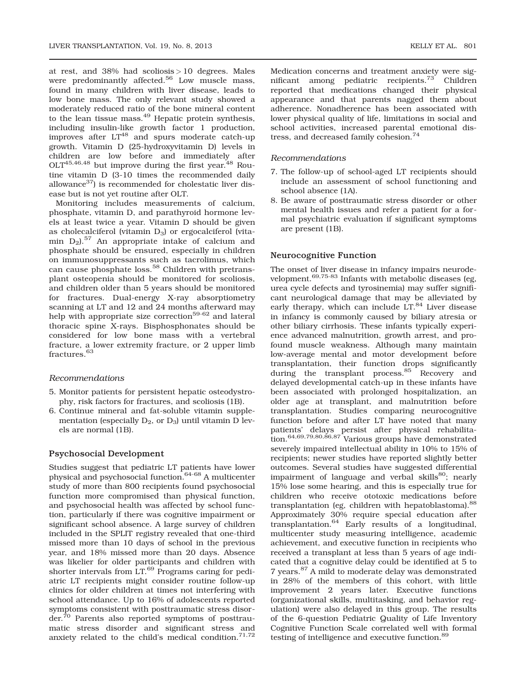at rest, and 38% had scoliosis > 10 degrees. Males were predominantly affected.<sup>56</sup> Low muscle mass, found in many children with liver disease, leads to low bone mass. The only relevant study showed a moderately reduced ratio of the bone mineral content to the lean tissue mass. $49$  Hepatic protein synthesis, including insulin-like growth factor 1 production, improves after  $LT^{48}$  and spurs moderate catch-up growth. Vitamin D (25-hydroxyvitamin D) levels in children are low before and immediately after  $OLT<sup>45,46,48</sup>$  but improve during the first year.<sup>48</sup> Routine vitamin D (3-10 times the recommended daily allowance<sup>37</sup>) is recommended for cholestatic liver disease but is not yet routine after OLT.

Monitoring includes measurements of calcium, phosphate, vitamin D, and parathyroid hormone levels at least twice a year. Vitamin D should be given as cholecalciferol (vitamin  $D_3$ ) or ergocalciferol (vitamin D2).<sup>57</sup> An appropriate intake of calcium and phosphate should be ensured, especially in children on immunosuppressants such as tacrolimus, which can cause phosphate loss.<sup>58</sup> Children with pretransplant osteopenia should be monitored for scoliosis, and children older than 5 years should be monitored for fractures. Dual-energy X-ray absorptiometry scanning at LT and 12 and 24 months afterward may help with appropriate size correction<sup>59-62</sup> and lateral thoracic spine X-rays. Bisphosphonates should be considered for low bone mass with a vertebral fracture, a lower extremity fracture, or 2 upper limb fractures.<sup>63</sup>

#### Recommendations

- 5. Monitor patients for persistent hepatic osteodystrophy, risk factors for fractures, and scoliosis (1B).
- 6. Continue mineral and fat-soluble vitamin supplementation (especially  $D_2$ , or  $D_3$ ) until vitamin D levels are normal (1B).

#### Psychosocial Development

Studies suggest that pediatric LT patients have lower physical and psychosocial function.64-68 A multicenter study of more than 800 recipients found psychosocial function more compromised than physical function, and psychosocial health was affected by school function, particularly if there was cognitive impairment or significant school absence. A large survey of children included in the SPLIT registry revealed that one-third missed more than 10 days of school in the previous year, and 18% missed more than 20 days. Absence was likelier for older participants and children with shorter intervals from LT.<sup>69</sup> Programs caring for pediatric LT recipients might consider routine follow-up clinics for older children at times not interfering with school attendance. Up to 16% of adolescents reported symptoms consistent with posttraumatic stress disorder.70 Parents also reported symptoms of posttraumatic stress disorder and significant stress and anxiety related to the child's medical condition. $71,72$ 

Medication concerns and treatment anxiety were significant among pediatric recipients.<sup>73</sup> Children reported that medications changed their physical appearance and that parents nagged them about adherence. Nonadherence has been associated with lower physical quality of life, limitations in social and school activities, increased parental emotional distress, and decreased family cohesion.74

#### Recommendations

- 7. The follow-up of school-aged LT recipients should include an assessment of school functioning and school absence (1A).
- 8. Be aware of posttraumatic stress disorder or other mental health issues and refer a patient for a formal psychiatric evaluation if significant symptoms are present (1B).

#### Neurocognitive Function

The onset of liver disease in infancy impairs neurodevelopment.<sup>69,75-83</sup> Infants with metabolic diseases (eg, urea cycle defects and tyrosinemia) may suffer significant neurological damage that may be alleviated by early therapy, which can include  $LT^{84}$  Liver disease in infancy is commonly caused by biliary atresia or other biliary cirrhosis. These infants typically experience advanced malnutrition, growth arrest, and profound muscle weakness. Although many maintain low-average mental and motor development before transplantation, their function drops significantly during the transplant process.<sup>85</sup> Recovery and delayed developmental catch-up in these infants have been associated with prolonged hospitalization, an older age at transplant, and malnutrition before transplantation. Studies comparing neurocognitive function before and after LT have noted that many patients' delays persist after physical rehabilitation.64,69,79,80,86,87 Various groups have demonstrated severely impaired intellectual ability in 10% to 15% of recipients; newer studies have reported slightly better outcomes. Several studies have suggested differential impairment of language and verbal skills $^{80}$ ; nearly 15% lose some hearing, and this is especially true for children who receive ototoxic medications before transplantation (eg, children with hepatoblastoma).<sup>88</sup> Approximately 30% require special education after transplantation.64 Early results of a longitudinal, multicenter study measuring intelligence, academic achievement, and executive function in recipients who received a transplant at less than 5 years of age indicated that a cognitive delay could be identified at 5 to 7 years.87 A mild to moderate delay was demonstrated in 28% of the members of this cohort, with little improvement 2 years later. Executive functions (organizational skills, multitasking, and behavior regulation) were also delayed in this group. The results of the 6-question Pediatric Quality of Life Inventory Cognitive Function Scale correlated well with formal testing of intelligence and executive function.<sup>89</sup>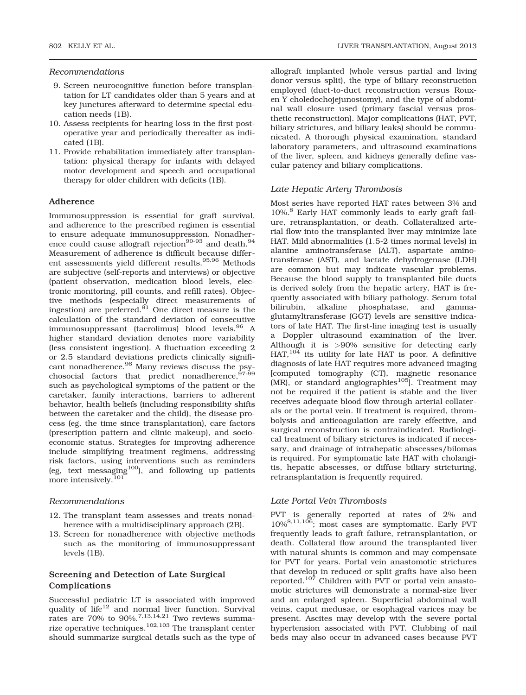## Recommendations

- 9. Screen neurocognitive function before transplantation for LT candidates older than 5 years and at key junctures afterward to determine special education needs (1B).
- 10. Assess recipients for hearing loss in the first postoperative year and periodically thereafter as indicated (1B).
- 11. Provide rehabilitation immediately after transplantation: physical therapy for infants with delayed motor development and speech and occupational therapy for older children with deficits (1B).

#### Adherence

Immunosuppression is essential for graft survival, and adherence to the prescribed regimen is essential to ensure adequate immunosuppression. Nonadherence could cause allograft rejection<sup>90-93</sup> and death.<sup>94</sup> Measurement of adherence is difficult because different assessments yield different results.<sup>95,96</sup> Methods are subjective (self-reports and interviews) or objective (patient observation, medication blood levels, electronic monitoring, pill counts, and refill rates). Objective methods (especially direct measurements of ingestion) are preferred. $91$  One direct measure is the calculation of the standard deviation of consecutive immunosuppressant (tacrolimus) blood levels.<sup>96</sup> A higher standard deviation denotes more variability (less consistent ingestion). A fluctuation exceeding 2 or 2.5 standard deviations predicts clinically significant nonadherence.<sup>96</sup> Many reviews discuss the psychosocial factors that predict nonadherence,<sup>9</sup> such as psychological symptoms of the patient or the caretaker, family interactions, barriers to adherent behavior, health beliefs (including responsibility shifts between the caretaker and the child), the disease process (eg, the time since transplantation), care factors (prescription pattern and clinic makeup), and socioeconomic status. Strategies for improving adherence include simplifying treatment regimens, addressing risk factors, using interventions such as reminders (eg, text messaging $100$ ), and following up patients more intensively.<sup>101</sup>

#### Recommendations

- 12. The transplant team assesses and treats nonadherence with a multidisciplinary approach (2B).
- 13. Screen for nonadherence with objective methods such as the monitoring of immunosuppressant levels (1B).

# Screening and Detection of Late Surgical Complications

Successful pediatric LT is associated with improved quality of life<sup>12</sup> and normal liver function. Survival rates are  $70\%$  to  $90\%$ ,  $^{7,13,14,21}$  Two reviews summarize operative techniques.<sup>102,103</sup> The transplant center should summarize surgical details such as the type of allograft implanted (whole versus partial and living donor versus split), the type of biliary reconstruction employed (duct-to-duct reconstruction versus Rouxen Y choledochojejunostomy), and the type of abdominal wall closure used (primary fascial versus prosthetic reconstruction). Major complications (HAT, PVT, biliary strictures, and biliary leaks) should be communicated. A thorough physical examination, standard laboratory parameters, and ultrasound examinations of the liver, spleen, and kidneys generally define vascular patency and biliary complications.

#### Late Hepatic Artery Thrombosis

Most series have reported HAT rates between 3% and 10%.<sup>8</sup> Early HAT commonly leads to early graft failure, retransplantation, or death. Collateralized arterial flow into the transplanted liver may minimize late HAT. Mild abnormalities (1.5-2 times normal levels) in alanine aminotransferase (ALT), aspartate aminotransferase (AST), and lactate dehydrogenase (LDH) are common but may indicate vascular problems. Because the blood supply to transplanted bile ducts is derived solely from the hepatic artery, HAT is frequently associated with biliary pathology. Serum total bilirubin, alkaline phosphatase, and gammaglutamyltransferase (GGT) levels are sensitive indicators of late HAT. The first-line imaging test is usually a Doppler ultrasound examination of the liver. Although it is >90% sensitive for detecting early  $HAT$ ,  $10\overline{4}$  its utility for late HAT is poor. A definitive diagnosis of late HAT requires more advanced imaging [computed tomography (CT), magnetic resonance  $(MR)$ , or standard angiographies<sup>105</sup>. Treatment may not be required if the patient is stable and the liver receives adequate blood flow through arterial collaterals or the portal vein. If treatment is required, thrombolysis and anticoagulation are rarely effective, and surgical reconstruction is contraindicated. Radiological treatment of biliary strictures is indicated if necessary, and drainage of intrahepatic abscesses/bilomas is required. For symptomatic late HAT with cholangitis, hepatic abscesses, or diffuse biliary stricturing, retransplantation is frequently required.

#### Late Portal Vein Thrombosis

PVT is generally reported at rates of 2% and 10%8,11,106; most cases are symptomatic. Early PVT frequently leads to graft failure, retransplantation, or death. Collateral flow around the transplanted liver with natural shunts is common and may compensate for PVT for years. Portal vein anastomotic strictures that develop in reduced or split grafts have also been reported.<sup>107</sup> Children with PVT or portal vein anastomotic strictures will demonstrate a normal-size liver and an enlarged spleen. Superficial abdominal wall veins, caput medusae, or esophageal varices may be present. Ascites may develop with the severe portal hypertension associated with PVT. Clubbing of nail beds may also occur in advanced cases because PVT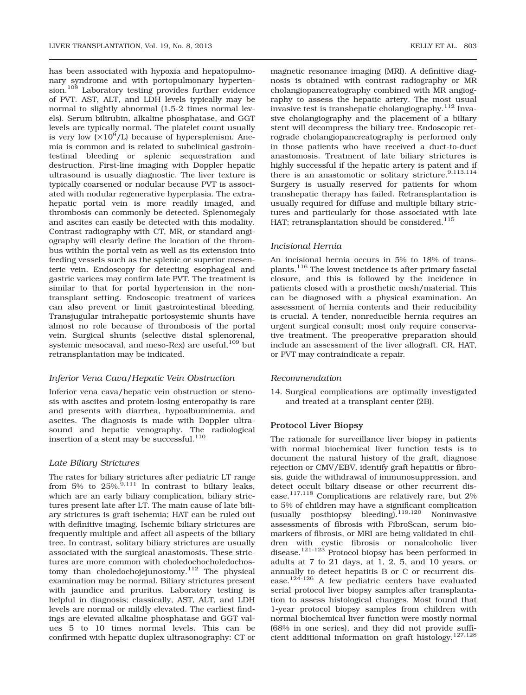has been associated with hypoxia and hepatopulmonary syndrome and with portopulmonary hypertension.<sup>108</sup> Laboratory testing provides further evidence of PVT. AST, ALT, and LDH levels typically may be normal to slightly abnormal (1.5-2 times normal levels). Serum bilirubin, alkaline phosphatase, and GGT levels are typically normal. The platelet count usually is very low  $(\times 10^9/L)$  because of hypersplenism. Anemia is common and is related to subclinical gastrointestinal bleeding or splenic sequestration and destruction. First-line imaging with Doppler hepatic ultrasound is usually diagnostic. The liver texture is typically coarsened or nodular because PVT is associated with nodular regenerative hyperplasia. The extrahepatic portal vein is more readily imaged, and thrombosis can commonly be detected. Splenomegaly and ascites can easily be detected with this modality. Contrast radiography with CT, MR, or standard angiography will clearly define the location of the thrombus within the portal vein as well as its extension into feeding vessels such as the splenic or superior mesenteric vein. Endoscopy for detecting esophageal and gastric varices may confirm late PVT. The treatment is similar to that for portal hypertension in the nontransplant setting. Endoscopic treatment of varices can also prevent or limit gastrointestinal bleeding. Transjugular intrahepatic portosystemic shunts have almost no role because of thrombosis of the portal vein. Surgical shunts (selective distal splenorenal, systemic mesocaval, and meso-Rex) are useful, 109 but retransplantation may be indicated.

# Inferior Vena Cava/Hepatic Vein Obstruction

Inferior vena cava/hepatic vein obstruction or stenosis with ascites and protein-losing enteropathy is rare and presents with diarrhea, hypoalbuminemia, and ascites. The diagnosis is made with Doppler ultrasound and hepatic venography. The radiological insertion of a stent may be successful.<sup>110</sup>

# Late Biliary Strictures

The rates for biliary strictures after pediatric LT range from 5% to  $25\%$ ,  $\frac{9,111}{9}$  In contrast to biliary leaks, which are an early biliary complication, biliary strictures present late after LT. The main cause of late biliary strictures is graft ischemia; HAT can be ruled out with definitive imaging. Ischemic biliary strictures are frequently multiple and affect all aspects of the biliary tree. In contrast, solitary biliary strictures are usually associated with the surgical anastomosis. These strictures are more common with choledochocholedochostomy than choledochojejunostomy.<sup>112</sup> The physical examination may be normal. Biliary strictures present with jaundice and pruritus. Laboratory testing is helpful in diagnosis; classically, AST, ALT, and LDH levels are normal or mildly elevated. The earliest findings are elevated alkaline phosphatase and GGT values 5 to 10 times normal levels. This can be confirmed with hepatic duplex ultrasonography: CT or

magnetic resonance imaging (MRI). A definitive diagnosis is obtained with contrast radiography or MR cholangiopancreatography combined with MR angiography to assess the hepatic artery. The most usual invasive test is transhepatic cholangiography.<sup>112</sup> Invasive cholangiography and the placement of a biliary stent will decompress the biliary tree. Endoscopic retrograde cholangiopancreatography is performed only in those patients who have received a duct-to-duct anastomosis. Treatment of late biliary strictures is highly successful if the hepatic artery is patent and if there is an anastomotic or solitary stricture.<sup>9,113,114</sup> Surgery is usually reserved for patients for whom transhepatic therapy has failed. Retransplantation is usually required for diffuse and multiple biliary strictures and particularly for those associated with late HAT; retransplantation should be considered.<sup>115</sup>

# Incisional Hernia

An incisional hernia occurs in 5% to 18% of transplants.116 The lowest incidence is after primary fascial closure, and this is followed by the incidence in patients closed with a prosthetic mesh/material. This can be diagnosed with a physical examination. An assessment of hernia contents and their reducibility is crucial. A tender, nonreducible hernia requires an urgent surgical consult; most only require conservative treatment. The preoperative preparation should include an assessment of the liver allograft. CR, HAT, or PVT may contraindicate a repair.

# Recommendation

14. Surgical complications are optimally investigated and treated at a transplant center (2B).

# Protocol Liver Biopsy

The rationale for surveillance liver biopsy in patients with normal biochemical liver function tests is to document the natural history of the graft, diagnose rejection or CMV/EBV, identify graft hepatitis or fibrosis, guide the withdrawal of immunosuppression, and detect occult biliary disease or other recurrent disease.<sup>117,118</sup> Complications are relatively rare, but  $2\%$ to 5% of children may have a significant complication<br>(usually postbiopsy bleeding).<sup>119,120</sup> Noninvasive (usually postbiopsy bleeding).<sup>119,120</sup> assessments of fibrosis with FibroScan, serum biomarkers of fibrosis, or MRI are being validated in children with cystic fibrosis or nonalcoholic liver disease.<sup>121-123</sup> Protocol biopsy has been performed in adults at 7 to 21 days, at 1, 2, 5, and 10 years, or annually to detect hepatitis B or C or recurrent disease.124-126 A few pediatric centers have evaluated serial protocol liver biopsy samples after transplantation to assess histological changes. Most found that 1-year protocol biopsy samples from children with normal biochemical liver function were mostly normal (68% in one series), and they did not provide sufficient additional information on graft histology.127,128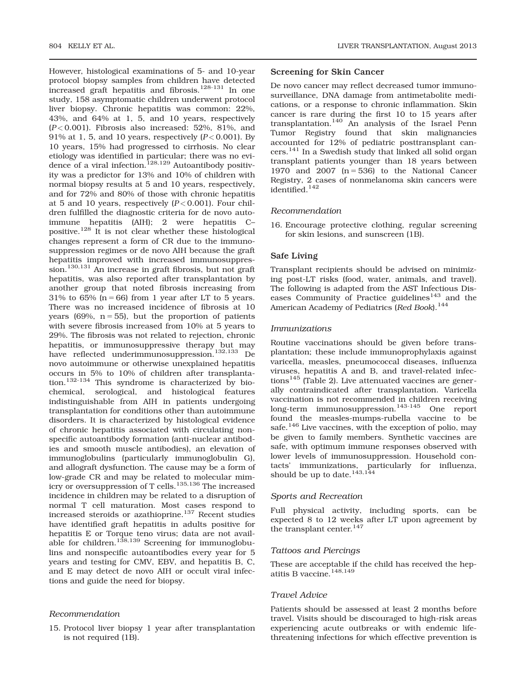However, histological examinations of 5- and 10-year protocol biopsy samples from children have detected increased graft hepatitis and fibrosis.<sup>128-131</sup> In one study, 158 asymptomatic children underwent protocol liver biopsy. Chronic hepatitis was common: 22%, 43%, and 64% at 1, 5, and 10 years, respectively  $(P<0.001)$ . Fibrosis also increased: 52%, 81%, and 91% at 1, 5, and 10 years, respectively  $(P< 0.001)$ . By 10 years, 15% had progressed to cirrhosis. No clear etiology was identified in particular; there was no evidence of a viral infection.<sup>128,129</sup> Autoantibody positivity was a predictor for 13% and 10% of children with normal biopsy results at 5 and 10 years, respectively, and for 72% and 80% of those with chronic hepatitis at 5 and 10 years, respectively  $(P< 0.001)$ . Four children fulfilled the diagnostic criteria for de novo autoimmune hepatitis (AIH); 2 were hepatitis C– positive.<sup>128</sup> It is not clear whether these histological changes represent a form of CR due to the immunosuppression regimes or de novo AIH because the graft hepatitis improved with increased immunosuppression.130,131 An increase in graft fibrosis, but not graft hepatitis, was also reported after transplantation by another group that noted fibrosis increasing from 31% to 65% ( $n = 66$ ) from 1 year after LT to 5 years. There was no increased incidence of fibrosis at 10 years (69%,  $n = 55$ ), but the proportion of patients with severe fibrosis increased from 10% at 5 years to 29%. The fibrosis was not related to rejection, chronic hepatitis, or immunosuppressive therapy but may have reflected underimmunosuppression.<sup>132,133</sup> De novo autoimmune or otherwise unexplained hepatitis occurs in 5% to 10% of children after transplantation.132-134 This syndrome is characterized by biochemical, serological, and histological features indistinguishable from AIH in patients undergoing transplantation for conditions other than autoimmune disorders. It is characterized by histological evidence of chronic hepatitis associated with circulating nonspecific autoantibody formation (anti-nuclear antibodies and smooth muscle antibodies), an elevation of immunoglobulins (particularly immunoglobulin G), and allograft dysfunction. The cause may be a form of low-grade CR and may be related to molecular mimicry or oversuppression of T cells.<sup>135,136</sup> The increased incidence in children may be related to a disruption of normal T cell maturation. Most cases respond to increased steroids or azathioprine.<sup>137</sup> Recent studies have identified graft hepatitis in adults positive for hepatitis E or Torque teno virus; data are not available for children.<sup>138,139</sup> Screening for immunoglobulins and nonspecific autoantibodies every year for 5 years and testing for CMV, EBV, and hepatitis B, C, and E may detect de novo AIH or occult viral infections and guide the need for biopsy.

# Recommendation

15. Protocol liver biopsy 1 year after transplantation is not required (1B).

## Screening for Skin Cancer

De novo cancer may reflect decreased tumor immunosurveillance, DNA damage from antimetabolite medications, or a response to chronic inflammation. Skin cancer is rare during the first 10 to 15 years after transplantation.140 An analysis of the Israel Penn Tumor Registry found that skin malignancies accounted for 12% of pediatric posttransplant cancers.<sup>141</sup> In a Swedish study that linked all solid organ transplant patients younger than 18 years between 1970 and  $2007$  (n = 536) to the National Cancer Registry, 2 cases of nonmelanoma skin cancers were identified.  $\rm ^{142}$ 

#### Recommendation

16. Encourage protective clothing, regular screening for skin lesions, and sunscreen (1B).

## Safe Living

Transplant recipients should be advised on minimizing post-LT risks (food, water, animals, and travel). The following is adapted from the AST Infectious Diseases Community of Practice guidelines<sup>143</sup> and the American Academy of Pediatrics (Red Book).<sup>144</sup>

#### Immunizations

Routine vaccinations should be given before transplantation; these include immunoprophylaxis against varicella, measles, pneumococcal diseases, influenza viruses, hepatitis A and B, and travel-related infections<sup>145</sup> (Table 2). Live attenuated vaccines are generally contraindicated after transplantation. Varicella vaccination is not recommended in children receiving long-term immunosuppression.<sup>143-145</sup> One report found the measles-mumps-rubella vaccine to be safe.<sup>146</sup> Live vaccines, with the exception of polio, may be given to family members. Synthetic vaccines are safe, with optimum immune responses observed with lower levels of immunosuppression. Household contacts' immunizations, particularly for influenza, should be up to date.<sup>143,144</sup>

## Sports and Recreation

Full physical activity, including sports, can be expected 8 to 12 weeks after LT upon agreement by the transplant center.<sup>147</sup>

#### Tattoos and Piercings

These are acceptable if the child has received the hepatitis B vaccine.148,149

## Travel Advice

Patients should be assessed at least 2 months before travel. Visits should be discouraged to high-risk areas experiencing acute outbreaks or with endemic lifethreatening infections for which effective prevention is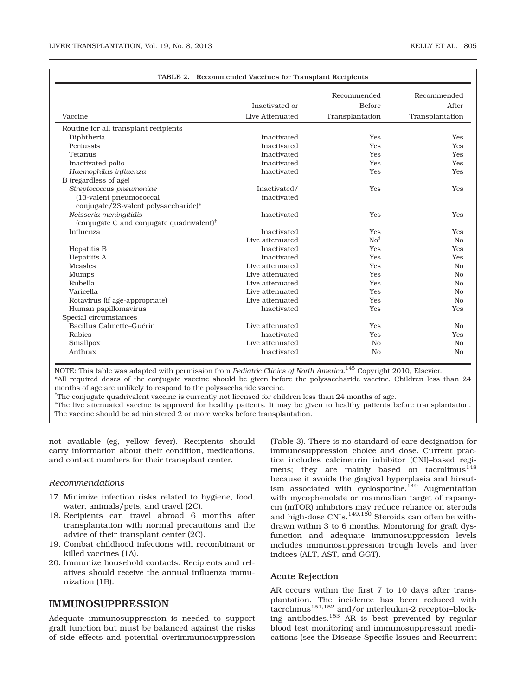| TABLE 2. Recommended Vaccines for Transplant Recipients |                 |                 |                 |  |  |
|---------------------------------------------------------|-----------------|-----------------|-----------------|--|--|
|                                                         |                 | Recommended     | Recommended     |  |  |
|                                                         | Inactivated or  | <b>Before</b>   | After           |  |  |
| Vaccine                                                 | Live Attenuated | Transplantation | Transplantation |  |  |
| Routine for all transplant recipients                   |                 |                 |                 |  |  |
| Diphtheria                                              | Inactivated     | <b>Yes</b>      | <b>Yes</b>      |  |  |
| Pertussis                                               | Inactivated     | <b>Yes</b>      | <b>Yes</b>      |  |  |
| Tetanus                                                 | Inactivated     | <b>Yes</b>      | <b>Yes</b>      |  |  |
| Inactivated polio                                       | Inactivated     | <b>Yes</b>      | <b>Yes</b>      |  |  |
| Haemophilus influenza                                   | Inactivated     | Yes             | Yes             |  |  |
| B (regardless of age)                                   |                 |                 |                 |  |  |
| Streptococcus pneumoniae                                | Inactivated/    | <b>Yes</b>      | <b>Yes</b>      |  |  |
| (13-valent pneumococcal                                 | inactivated     |                 |                 |  |  |
| conjugate/23-valent polysaccharide)*                    |                 |                 |                 |  |  |
| Neisseria meningitidis                                  | Inactivated     | <b>Yes</b>      | <b>Yes</b>      |  |  |
| (conjugate C and conjugate quadrivalent) $^{\dagger}$   |                 |                 |                 |  |  |
| Influenza                                               | Inactivated     | Yes             | <b>Yes</b>      |  |  |
|                                                         | Live attenuated | No <sup>‡</sup> | N <sub>0</sub>  |  |  |
| <b>Hepatitis B</b>                                      | Inactivated     | <b>Yes</b>      | <b>Yes</b>      |  |  |
| Hepatitis A                                             | Inactivated     | <b>Yes</b>      | <b>Yes</b>      |  |  |
| <b>Measles</b>                                          | Live attenuated | <b>Yes</b>      | N <sub>o</sub>  |  |  |
| Mumps                                                   | Live attenuated | <b>Yes</b>      | N <sub>o</sub>  |  |  |
| Rubella                                                 | Live attenuated | Yes             | N <sub>o</sub>  |  |  |
| Varicella                                               | Live attenuated | <b>Yes</b>      | N <sub>o</sub>  |  |  |
| Rotavirus (if age-appropriate)                          | Live attenuated | Yes             | N <sub>o</sub>  |  |  |
| Human papillomavirus                                    | Inactivated     | Yes             | Yes             |  |  |
| Special circumstances                                   |                 |                 |                 |  |  |
| Bacillus Calmette-Guérin                                | Live attenuated | <b>Yes</b>      | N <sub>0</sub>  |  |  |
| Rabies                                                  | Inactivated     | Yes             | Yes             |  |  |
| Smallpox                                                | Live attenuated | N <sub>o</sub>  | N <sub>o</sub>  |  |  |
| Anthrax                                                 | Inactivated     | N <sub>0</sub>  | N <sub>o</sub>  |  |  |

NOTE: This table was adapted with permission from *Pediatric Clinics of North America.* <sup>145</sup> Copyright 2010, Elsevier. \*All required doses of the conjugate vaccine should be given before the polysaccharide vaccine. Children less than 24 months of age are unlikely to respond to the polysaccharide vaccine.

† The conjugate quadrivalent vaccine is currently not licensed for children less than 24 months of age.

‡ The live attenuated vaccine is approved for healthy patients. It may be given to healthy patients before transplantation. The vaccine should be administered 2 or more weeks before transplantation.

not available (eg, yellow fever). Recipients should carry information about their condition, medications, and contact numbers for their transplant center.

#### Recommendations

- 17. Minimize infection risks related to hygiene, food, water, animals/pets, and travel (2C).
- 18. Recipients can travel abroad 6 months after transplantation with normal precautions and the advice of their transplant center (2C).
- 19. Combat childhood infections with recombinant or killed vaccines (1A).
- 20. Immunize household contacts. Recipients and relatives should receive the annual influenza immunization (1B).

# IMMUNOSUPPRESSION

Adequate immunosuppression is needed to support graft function but must be balanced against the risks of side effects and potential overimmunosuppression (Table 3). There is no standard-of-care designation for immunosuppression choice and dose. Current practice includes calcineurin inhibitor (CNI)–based regimens; they are mainly based on tacrolimus<sup>148</sup> because it avoids the gingival hyperplasia and hirsutism associated with cyclosporine.<sup>149</sup> Augmentation with mycophenolate or mammalian target of rapamycin (mTOR) inhibitors may reduce reliance on steroids and high-dose CNIs. $^{149,150}$  Steroids can often be withdrawn within 3 to 6 months. Monitoring for graft dysfunction and adequate immunosuppression levels includes immunosuppression trough levels and liver indices (ALT, AST, and GGT).

#### Acute Rejection

AR occurs within the first 7 to 10 days after transplantation. The incidence has been reduced with  $\frac{1}{5}$ tacrolimus $^{151,152}$  and/or interleukin-2 receptor–blocking antibodies.<sup>153</sup> AR is best prevented by regular blood test monitoring and immunosuppressant medications (see the Disease-Specific Issues and Recurrent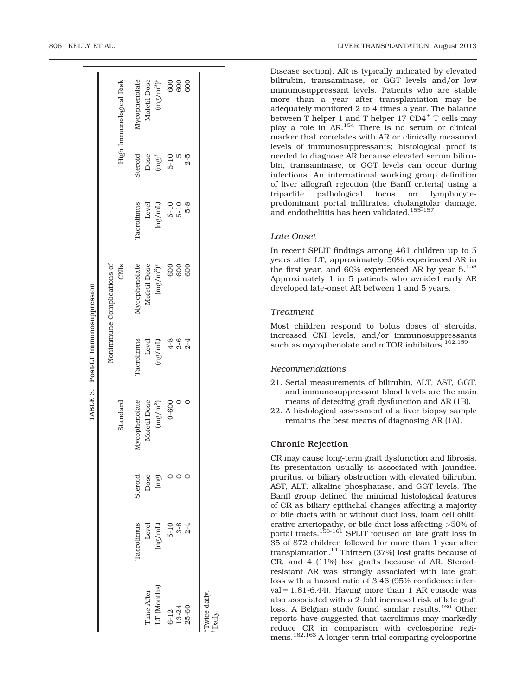Disease section). AR is typically indicated by elevated bilirubin, transaminase, or GGT levels and/or low immunosuppressant levels. Patients who are stable more than a year after transplantation may be adequately monitored 2 to 4 times a year. The balance between T helper 1 and T helper 17 CD4<sup>+</sup> T cells may play a role in AR.<sup>154</sup> There is no serum or clinical marker that correlates with AR or clinically measured levels of immunosuppressants; histological proof is needed to diagnose AR because elevated serum bilirubin, transaminase, or GGT levels can occur during infections. An international working group definition of liver allograft rejection (the Banff criteria) using a tripartite pathological focus on lymphocytepredominant portal infiltrates, cholangiolar damage, and endotheliitis has been validated.<sup>155-157</sup>

# Late Onset

In recent SPLIT findings among 461 children up to 5 years after LT, approximately 50% experienced AR in the first year, and 60% experienced AR by year 5.<sup>158</sup> Approximately 1 in 5 patients who avoided early AR developed late-onset AR between 1 and 5 years.

# Treatment

Most children respond to bolus doses of steroids, increased CNI levels, and/or immunosuppressants such as mycophenolate and mTOR inhibitors.<sup>102,159</sup>

# Recommendations

- 21. Serial measurements of bilirubin, ALT, AST, GGT, and immunosuppressant blood levels are the main means of detecting graft dysfunction and AR (1B).
- 22. A histological assessment of a liver biopsy sample remains the best means of diagnosing AR (1A).

#### Chronic Rejection

CR may cause long-term graft dysfunction and fibrosis. Its presentation usually is associated with jaundice, pruritus, or biliary obstruction with elevated bilirubin, AST, ALT, alkaline phosphatase, and GGT levels. The Banff group defined the minimal histological features of CR as biliary epithelial changes affecting a majority of bile ducts with or without duct loss, foam cell obliterative arteriopathy, or bile duct loss affecting >50% of portal tracts.<sup>158-161</sup> SPLIT focused on late graft loss in 35 of 872 children followed for more than 1 year after transplantation.<sup>14</sup> Thirteen (37%) lost grafts because of CR, and 4 (11%) lost grafts because of AR. Steroidresistant AR was strongly associated with late graft loss with a hazard ratio of 3.46 (95% confidence interval =  $1.81-6.44$ ). Having more than 1 AR episode was also associated with a 2-fold increased risk of late graft loss. A Belgian study found similar results.<sup>160</sup> Other reports have suggested that tacrolimus may markedly reduce CR in comparison with cyclosporine regimens.<sup>162,163</sup> A longer term trial comparing cyclosporine

|                                    | High Immunological Risk            | 600<br>$(mg/m^2)^*$<br>600<br>600<br>Mycophenolate<br>Mofetil Dose                    |                        |
|------------------------------------|------------------------------------|---------------------------------------------------------------------------------------|------------------------|
|                                    |                                    | Steroid<br>$2 - 5$<br>Dose<br>$5-10$<br>$(mg)^+$                                      |                        |
|                                    |                                    | $5 - 8$<br>Tacrolimus<br>Level<br>$\frac{5-10}{5-10}$<br>(ng/ml)                      |                        |
|                                    | Nonimmune Complications of<br>CNIS | Mycophenolate<br>Mofetil Dose<br>$(\mathrm{m} g/\mathrm{m}^2)^*$<br>600<br>600<br>600 |                        |
| TABLE 3. Post-LT Immunosuppression |                                    | Tacrolimus<br>$2 - 6$<br>$4 - 8$<br>Level<br>(ng/ml)<br>$2 - 4$                       |                        |
|                                    | Standard                           | Mycophenolate<br>Mofetil Dose<br>$\rm (mg/m^2)$<br>$0 - 600$                          |                        |
|                                    |                                    | Dose<br>Steroid<br>(mg)                                                               |                        |
|                                    |                                    | <b>Tacrolimus</b><br>Level<br>$3-8$<br>$5 - 10$<br>$2 - 4$<br>(ng/ml)                 |                        |
|                                    |                                    | LT (Months)<br>Time After<br>13-24<br>25-60<br>$6 - 12$                               | Twice daily.<br>Daily. |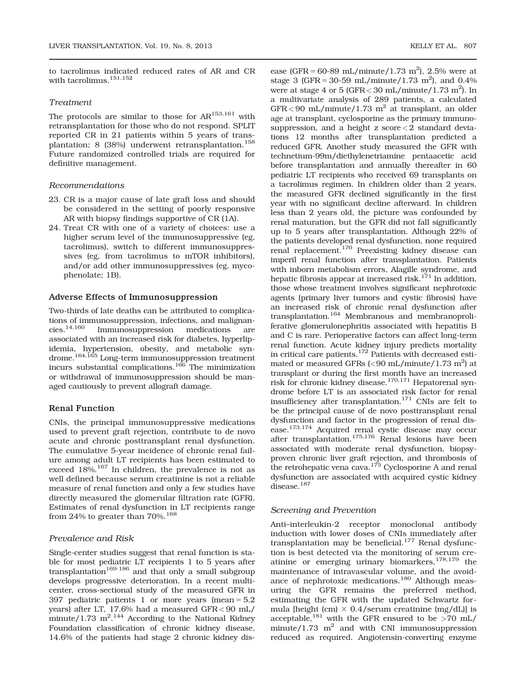to tacrolimus indicated reduced rates of AR and CR with tacrolimus.  $^{151,152}$ 

# Treatment

The protocols are similar to those for  $AR^{153,161}$  with retransplantation for those who do not respond. SPLIT reported CR in 21 patients within 5 years of transplantation; 8 (38%) underwent retransplantation.<sup>158</sup> Future randomized controlled trials are required for definitive management.

#### Recommendations

- 23. CR is a major cause of late graft loss and should be considered in the setting of poorly responsive AR with biopsy findings supportive of CR (1A).
- 24. Treat CR with one of a variety of choices: use a higher serum level of the immunosuppressive (eg, tacrolimus), switch to different immunosuppressives (eg, from tacrolimus to mTOR inhibitors), and/or add other immunosuppressives (eg, mycophenolate; 1B).

#### Adverse Effects of Immunosuppression

Two-thirds of late deaths can be attributed to complications of immunosuppression, infections, and malignan-<br>cies.<sup>14,160</sup> Immunosuppression medications are Immunosuppression medications are associated with an increased risk for diabetes, hyperlipidemia, hypertension, obesity, and metabolic syndrome.<sup>164,165</sup> Long-term immunosuppression treatment incurs substantial complications.<sup>166</sup> The minimization or withdrawal of immunosuppression should be managed cautiously to prevent allograft damage.

#### Renal Function

CNIs, the principal immunosuppressive medications used to prevent graft rejection, contribute to de novo acute and chronic posttransplant renal dysfunction. The cumulative 5-year incidence of chronic renal failure among adult LT recipients has been estimated to exceed  $18\%$ .<sup>167</sup> In children, the prevalence is not as well defined because serum creatinine is not a reliable measure of renal function and only a few studies have directly measured the glomerular filtration rate (GFR). Estimates of renal dysfunction in LT recipients range from 24% to greater than  $70\%$ .<sup>168</sup>

# Prevalence and Risk

Single-center studies suggest that renal function is stable for most pediatric LT recipients 1 to 5 years after transplantation<sup>169-186</sup> and that only a small subgroup develops progressive deterioration. In a recent multicenter, cross-sectional study of the measured GFR in 397 pediatric patients 1 or more years (mean  $= 5.2$ ) years) after LT, 17.6% had a measured GFR< 90 mL/  $\text{minute}/1.73 \text{ m}^2$ .<sup>144</sup> According to the National Kidney Foundation classification of chronic kidney disease, 14.6% of the patients had stage 2 chronic kidney dis-

ease (GFR = 60-89 mL/minute/1.73 m<sup>2</sup>), 2.5% were at stage 3 (GFR = 30-59 mL/minute/1.73 m<sup>2</sup>), and 0.4% were at stage 4 or 5 (GFR  $<$  30 mL/minute/1.73 m<sup>2</sup>). In a multivariate analysis of 289 patients, a calculated  $GFR < 90$  mL/minute/1.73 m<sup>2</sup> at transplant, an older age at transplant, cyclosporine as the primary immunosuppression, and a height  $z$  score  $<$  2 standard deviations 12 months after transplantation predicted a reduced GFR. Another study measured the GFR with technetium-99m/diethylenetriamine pentaacetic acid before transplantation and annually thereafter in 60 pediatric LT recipients who received 69 transplants on a tacrolimus regimen. In children older than 2 years, the measured GFR declined significantly in the first year with no significant decline afterward. In children less than 2 years old, the picture was confounded by renal maturation, but the GFR did not fall significantly up to 5 years after transplantation. Although 22% of the patients developed renal dysfunction, none required renal replacement.170 Preexisting kidney disease can imperil renal function after transplantation. Patients with inborn metabolism errors, Alagille syndrome, and hepatic fibrosis appear at increased risk.<sup>171</sup> In addition, those whose treatment involves significant nephrotoxic agents (primary liver tumors and cystic fibrosis) have an increased risk of chronic renal dysfunction after transplantation.164 Membranous and membranoproliferative glomerulonephritis associated with hepatitis B and C is rare. Perioperative factors can affect long-term renal function. Acute kidney injury predicts mortality in critical care patients.172 Patients with decreased estimated or measured GFRs (<90 mL/minute/1.73  $\mathrm{m}^2$ ) at transplant or during the first month have an increased risk for chronic kidney disease.170,171 Hepatorenal syndrome before LT is an associated risk factor for renal insufficiency after transplantation.<sup>171</sup> CNIs are felt to be the principal cause of de novo posttransplant renal dysfunction and factor in the progression of renal disease.173,174 Acquired renal cystic disease may occur after transplantation.175,176 Renal lesions have been associated with moderate renal dysfunction, biopsyproven chronic liver graft rejection, and thrombosis of the retrohepatic vena cava.<sup>175</sup> Cyclosporine A and renal dysfunction are associated with acquired cystic kidney disease.<sup>187</sup>

#### Screening and Prevention

Anti–interleukin-2 receptor monoclonal antibody induction with lower doses of CNIs immediately after transplantation may be beneficial.<sup>177</sup> Renal dysfunction is best detected via the monitoring of serum creatinine or emerging urinary biomarkers,  $178,179$  the maintenance of intravascular volume, and the avoidance of nephrotoxic medications.<sup>180</sup> Although measuring the GFR remains the preferred method, estimating the GFR with the updated Schwartz formula [height (cm)  $\times$  0.4/serum creatinine (mg/dL)] is acceptable,<sup>181</sup> with the GFR ensured to be  $>70$  mL/ minute/1.73  $m^2$  and with CNI immunosuppression reduced as required. Angiotensin-converting enzyme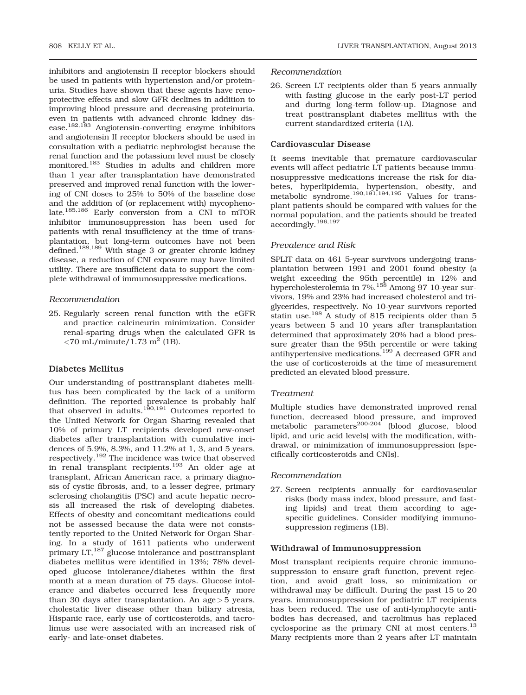inhibitors and angiotensin II receptor blockers should be used in patients with hypertension and/or proteinuria. Studies have shown that these agents have renoprotective effects and slow GFR declines in addition to improving blood pressure and decreasing proteinuria, even in patients with advanced chronic kidney disease.182,183 Angiotensin-converting enzyme inhibitors and angiotensin II receptor blockers should be used in consultation with a pediatric nephrologist because the renal function and the potassium level must be closely monitored.183 Studies in adults and children more than 1 year after transplantation have demonstrated preserved and improved renal function with the lowering of CNI doses to 25% to 50% of the baseline dose and the addition of (or replacement with) mycophenolate.185,186 Early conversion from a CNI to mTOR inhibitor immunosuppression has been used for patients with renal insufficiency at the time of transplantation, but long-term outcomes have not been defined.<sup>188,189</sup> With stage 3 or greater chronic kidney disease, a reduction of CNI exposure may have limited utility. There are insufficient data to support the complete withdrawal of immunosuppressive medications.

## Recommendation

25. Regularly screen renal function with the eGFR and practice calcineurin minimization. Consider renal-sparing drugs when the calculated GFR is  $\langle 70 \text{ mL/minute} / 1.73 \text{ m}^2 (1B)$ .

# Diabetes Mellitus

Our understanding of posttransplant diabetes mellitus has been complicated by the lack of a uniform definition. The reported prevalence is probably half that observed in adults.<sup>190,191</sup> Outcomes reported to the United Network for Organ Sharing revealed that 10% of primary LT recipients developed new-onset diabetes after transplantation with cumulative incidences of 5.9%, 8.3%, and 11.2% at 1, 3, and 5 years, respectively.<sup>192</sup> The incidence was twice that observed in renal transplant recipients.<sup>193</sup> An older age at transplant, African American race, a primary diagnosis of cystic fibrosis, and, to a lesser degree, primary sclerosing cholangitis (PSC) and acute hepatic necrosis all increased the risk of developing diabetes. Effects of obesity and concomitant medications could not be assessed because the data were not consistently reported to the United Network for Organ Sharing. In a study of 1611 patients who underwent primary LT,<sup>187</sup> glucose intolerance and posttransplant diabetes mellitus were identified in 13%; 78% developed glucose intolerance/diabetes within the first month at a mean duration of 75 days. Glucose intolerance and diabetes occurred less frequently more than 30 days after transplantation. An age  $>$  5 years, cholestatic liver disease other than biliary atresia, Hispanic race, early use of corticosteroids, and tacrolimus use were associated with an increased risk of early- and late-onset diabetes.

## Recommendation

26. Screen LT recipients older than 5 years annually with fasting glucose in the early post-LT period and during long-term follow-up. Diagnose and treat posttransplant diabetes mellitus with the current standardized criteria (1A).

## Cardiovascular Disease

It seems inevitable that premature cardiovascular events will affect pediatric LT patients because immunosuppressive medications increase the risk for diabetes, hyperlipidemia, hypertension, obesity, and metabolic syndrome.<sup>190,191,194,195</sup> Values for transplant patients should be compared with values for the normal population, and the patients should be treated accordingly.196,197

#### Prevalence and Risk

SPLIT data on 461 5-year survivors undergoing transplantation between 1991 and 2001 found obesity (a weight exceeding the 95th percentile) in 12% and hypercholesterolemia in 7%.<sup>158</sup> Among 97 10-year survivors, 19% and 23% had increased cholesterol and triglycerides, respectively. No 10-year survivors reported statin use.198 A study of 815 recipients older than 5 years between 5 and 10 years after transplantation determined that approximately 20% had a blood pressure greater than the 95th percentile or were taking antihypertensive medications.199 A decreased GFR and the use of corticosteroids at the time of measurement predicted an elevated blood pressure.

#### Treatment

Multiple studies have demonstrated improved renal function, decreased blood pressure, and improved metabolic parameters<sup>200-204</sup> (blood glucose, blood lipid, and uric acid levels) with the modification, withdrawal, or minimization of immunosuppression (specifically corticosteroids and CNIs).

#### Recommendation

27. Screen recipients annually for cardiovascular risks (body mass index, blood pressure, and fasting lipids) and treat them according to agespecific guidelines. Consider modifying immunosuppression regimens (1B).

## Withdrawal of Immunosuppression

Most transplant recipients require chronic immunosuppression to ensure graft function, prevent rejection, and avoid graft loss, so minimization or withdrawal may be difficult. During the past 15 to 20 years, immunosuppression for pediatric LT recipients has been reduced. The use of anti-lymphocyte antibodies has decreased, and tacrolimus has replaced cyclosporine as the primary CNI at most centers.<sup>13</sup> Many recipients more than 2 years after LT maintain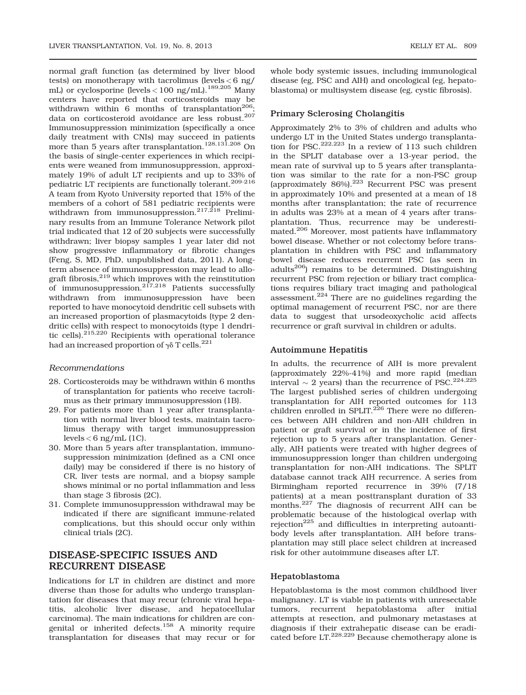normal graft function (as determined by liver blood tests) on monotherapy with tacrolimus (levels < 6 ng/ mL) or cyclosporine (levels  $< 100$  ng/mL).<sup>189,205</sup> Many centers have reported that corticosteroids may be withdrawn within 6 months of transplantation<sup>206</sup>; data on corticosteroid avoidance are less robust.<sup>207</sup> Immunosuppression minimization (specifically a once daily treatment with CNIs) may succeed in patients more than 5 years after transplantation.<sup>128,131,208</sup> On the basis of single-center experiences in which recipients were weaned from immunosuppression, approximately 19% of adult LT recipients and up to 33% of pediatric LT recipients are functionally tolerant.209-216 A team from Kyoto University reported that 15% of the members of a cohort of 581 pediatric recipients were withdrawn from immunosuppression.<sup>217,218</sup> Preliminary results from an Immune Tolerance Network pilot trial indicated that 12 of 20 subjects were successfully withdrawn; liver biopsy samples 1 year later did not show progressive inflammatory or fibrotic changes (Feng, S, MD, PhD, unpublished data, 2011). A longterm absence of immunosuppression may lead to allograft fibrosis,219 which improves with the reinstitution of immunosuppression. $217,218$  Patients successfully withdrawn from immunosuppression have been reported to have monocytoid dendritic cell subsets with an increased proportion of plasmacytoids (type 2 dendritic cells) with respect to monocytoids (type 1 dendritic cells).215,220 Recipients with operational tolerance had an increased proportion of  $\gamma\delta$  T cells.<sup>221</sup>

#### Recommendations

- 28. Corticosteroids may be withdrawn within 6 months of transplantation for patients who receive tacrolimus as their primary immunosuppression (1B).
- 29. For patients more than 1 year after transplantation with normal liver blood tests, maintain tacrolimus therapy with target immunosuppression levels < 6 ng/mL (1C).
- 30. More than 5 years after transplantation, immunosuppression minimization (defined as a CNI once daily) may be considered if there is no history of CR, liver tests are normal, and a biopsy sample shows minimal or no portal inflammation and less than stage 3 fibrosis (2C).
- 31. Complete immunosuppression withdrawal may be indicated if there are significant immune-related complications, but this should occur only within clinical trials (2C).

# DISEASE-SPECIFIC ISSUES AND RECURRENT DISEASE

Indications for LT in children are distinct and more diverse than those for adults who undergo transplantation for diseases that may recur (chronic viral hepatitis, alcoholic liver disease, and hepatocellular carcinoma). The main indications for children are congenital or inherited defects.<sup>158</sup> A minority require transplantation for diseases that may recur or for

whole body systemic issues, including immunological disease (eg, PSC and AIH) and oncological (eg, hepatoblastoma) or multisystem disease (eg, cystic fibrosis).

## Primary Sclerosing Cholangitis

Approximately 2% to 3% of children and adults who undergo LT in the United States undergo transplantation for PSC.<sup>222,223</sup> In a review of 113 such children in the SPLIT database over a 13-year period, the mean rate of survival up to 5 years after transplantation was similar to the rate for a non-PSC group (approximately 86%).<sup>223</sup> Recurrent PSC was present in approximately 10% and presented at a mean of 18 months after transplantation; the rate of recurrence in adults was 23% at a mean of 4 years after transplantation. Thus, recurrence may be underestimated.<sup>206</sup> Moreover, most patients have inflammatory bowel disease. Whether or not colectomy before transplantation in children with PSC and inflammatory bowel disease reduces recurrent PSC (as seen in adults206) remains to be determined. Distinguishing recurrent PSC from rejection or biliary tract complications requires biliary tract imaging and pathological assessment.<sup>224</sup> There are no guidelines regarding the optimal management of recurrent PSC, nor are there data to suggest that ursodeoxycholic acid affects recurrence or graft survival in children or adults.

#### Autoimmune Hepatitis

In adults, the recurrence of AIH is more prevalent (approximately 22%-41%) and more rapid (median interval  $\sim$  2 years) than the recurrence of PSC.<sup>224,225</sup> The largest published series of children undergoing transplantation for AIH reported outcomes for 113 children enrolled in SPLIT.<sup>226</sup> There were no differences between AIH children and non-AIH children in patient or graft survival or in the incidence of first rejection up to 5 years after transplantation. Generally, AIH patients were treated with higher degrees of immunosuppression longer than children undergoing transplantation for non-AIH indications. The SPLIT database cannot track AIH recurrence. A series from Birmingham reported recurrence in 39% (7/18 patients) at a mean posttransplant duration of 33 months. $227$  The diagnosis of recurrent AIH can be problematic because of the histological overlap with rejection<sup>225</sup> and difficulties in interpreting autoantibody levels after transplantation. AIH before transplantation may still place select children at increased risk for other autoimmune diseases after LT.

#### Hepatoblastoma

Hepatoblastoma is the most common childhood liver malignancy. LT is viable in patients with unresectable tumors, recurrent hepatoblastoma after initial attempts at resection, and pulmonary metastases at diagnosis if their extrahepatic disease can be eradicated before LT.228,229 Because chemotherapy alone is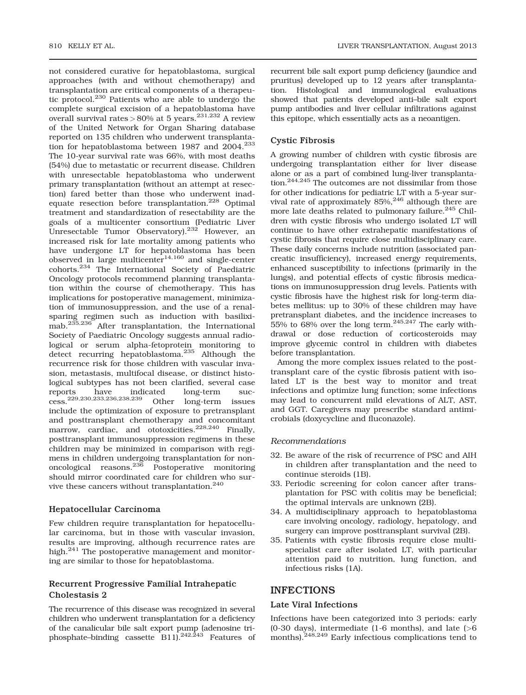not considered curative for hepatoblastoma, surgical approaches (with and without chemotherapy) and transplantation are critical components of a therapeutic protocol.<sup>230</sup> Patients who are able to undergo the complete surgical excision of a hepatoblastoma have overall survival rates >  $80\%$  at 5 years.<sup>231,232</sup> A review of the United Network for Organ Sharing database reported on 135 children who underwent transplantation for hepatoblastoma between 1987 and  $2004.<sup>233</sup>$ The 10-year survival rate was 66%, with most deaths (54%) due to metastatic or recurrent disease. Children with unresectable hepatoblastoma who underwent primary transplantation (without an attempt at resection) fared better than those who underwent inadequate resection before transplantation.<sup>228</sup> Optimal treatment and standardization of resectability are the goals of a multicenter consortium (Pediatric Liver Unresectable Tumor Observatory).<sup>232</sup> However, an increased risk for late mortality among patients who have undergone LT for hepatoblastoma has been  $\frac{1}{4}$ observed in large multicenter $14,160$  and single-center cohorts.<sup>234</sup> The International Society of Paediatric Oncology protocols recommend planning transplantation within the course of chemotherapy. This has implications for postoperative management, minimization of immunosuppression, and the use of a renalsparing regimen such as induction with basiliximab.<sup>235,236</sup> After transplantation, the International Society of Paediatric Oncology suggests annual radiological or serum alpha-fetoprotein monitoring to detect recurring hepatoblastoma.<sup>235</sup> Although the recurrence risk for those children with vascular invasion, metastasis, multifocal disease, or distinct histological subtypes has not been clarified, several case reports have indicated long-term suc-<br>cess.<sup>229,230,233,236,238,239</sup> Other long-term issues Other long-term issues include the optimization of exposure to pretransplant and posttransplant chemotherapy and concomitant marrow, cardiac, and ototoxicities.<sup>228,240</sup> Finally, posttransplant immunosuppression regimens in these children may be minimized in comparison with regimens in children undergoing transplantation for nononcological reasons.<sup>236</sup> Postoperative monitoring should mirror coordinated care for children who survive these cancers without transplantation.<sup>240</sup>

# Hepatocellular Carcinoma

Few children require transplantation for hepatocellular carcinoma, but in those with vascular invasion, results are improving, although recurrence rates are high.<sup>241</sup> The postoperative management and monitoring are similar to those for hepatoblastoma.

# Recurrent Progressive Familial Intrahepatic Cholestasis 2

The recurrence of this disease was recognized in several children who underwent transplantation for a deficiency of the canalicular bile salt export pump (adenosine triphosphate–binding cassette  $B11$ ).<sup>242,243</sup> Features of recurrent bile salt export pump deficiency (jaundice and pruritus) developed up to 12 years after transplantation. Histological and immunological evaluations showed that patients developed anti–bile salt export pump antibodies and liver cellular infiltrations against this epitope, which essentially acts as a neoantigen.

# Cystic Fibrosis

A growing number of children with cystic fibrosis are undergoing transplantation either for liver disease alone or as a part of combined lung-liver transplantation.244,245 The outcomes are not dissimilar from those for other indications for pediatric LT with a 5-year survival rate of approximately 85%,<sup>246</sup> although there are more late deaths related to pulmonary failure.<sup>245</sup> Children with cystic fibrosis who undergo isolated LT will continue to have other extrahepatic manifestations of cystic fibrosis that require close multidisciplinary care. These daily concerns include nutrition (associated pancreatic insufficiency), increased energy requirements, enhanced susceptibility to infections (primarily in the lungs), and potential effects of cystic fibrosis medications on immunosuppression drug levels. Patients with cystic fibrosis have the highest risk for long-term diabetes mellitus: up to 30% of these children may have pretransplant diabetes, and the incidence increases to  $55\%$  to  $68\%$  over the long term.<sup>245,247</sup> The early withdrawal or dose reduction of corticosteroids may improve glycemic control in children with diabetes before transplantation.

Among the more complex issues related to the posttransplant care of the cystic fibrosis patient with isolated LT is the best way to monitor and treat infections and optimize lung function; some infections may lead to concurrent mild elevations of ALT, AST, and GGT. Caregivers may prescribe standard antimicrobials (doxycycline and fluconazole).

# Recommendations

- 32. Be aware of the risk of recurrence of PSC and AIH in children after transplantation and the need to continue steroids (1B).
- 33. Periodic screening for colon cancer after transplantation for PSC with colitis may be beneficial; the optimal intervals are unknown (2B).
- 34. A multidisciplinary approach to hepatoblastoma care involving oncology, radiology, hepatology, and surgery can improve posttransplant survival (2B).
- 35. Patients with cystic fibrosis require close multispecialist care after isolated LT, with particular attention paid to nutrition, lung function, and infectious risks (1A).

# INFECTIONS

## Late Viral Infections

Infections have been categorized into 3 periods: early (0-30 days), intermediate (1-6 months), and late  $($ >6 months).<sup>248,249</sup> Early infectious complications tend to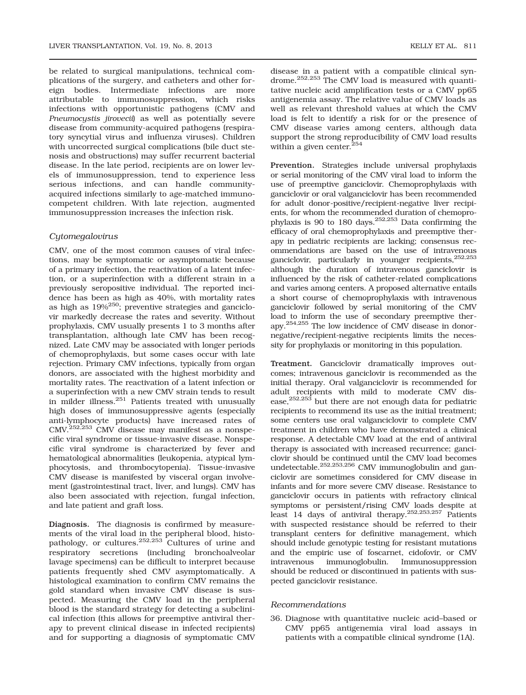be related to surgical manipulations, technical complications of the surgery, and catheters and other foreign bodies. Intermediate infections are more attributable to immunosuppression, which risks infections with opportunistic pathogens (CMV and Pneumocystis jirovecii) as well as potentially severe disease from community-acquired pathogens (respiratory syncytial virus and influenza viruses). Children with uncorrected surgical complications (bile duct stenosis and obstructions) may suffer recurrent bacterial disease. In the late period, recipients are on lower levels of immunosuppression, tend to experience less serious infections, and can handle communityacquired infections similarly to age-matched immunocompetent children. With late rejection, augmented immunosuppression increases the infection risk.

# Cytomegalovirus

CMV, one of the most common causes of viral infections, may be symptomatic or asymptomatic because of a primary infection, the reactivation of a latent infection, or a superinfection with a different strain in a previously seropositive individual. The reported incidence has been as high as 40%, with mortality rates as high as  $19\%^{250}$ ; preventive strategies and ganciclovir markedly decrease the rates and severity. Without prophylaxis, CMV usually presents 1 to 3 months after transplantation, although late CMV has been recognized. Late CMV may be associated with longer periods of chemoprophylaxis, but some cases occur with late rejection. Primary CMV infections, typically from organ donors, are associated with the highest morbidity and mortality rates. The reactivation of a latent infection or a superinfection with a new CMV strain tends to result in milder illness.251 Patients treated with unusually high doses of immunosuppressive agents (especially anti-lymphocyte products) have increased rates of CMV.252,253 CMV disease may manifest as a nonspecific viral syndrome or tissue-invasive disease. Nonspecific viral syndrome is characterized by fever and hematological abnormalities (leukopenia, atypical lymphocytosis, and thrombocytopenia). Tissue-invasive CMV disease is manifested by visceral organ involvement (gastrointestinal tract, liver, and lungs). CMV has also been associated with rejection, fungal infection, and late patient and graft loss.

Diagnosis. The diagnosis is confirmed by measurements of the viral load in the peripheral blood, histopathology, or cultures.252,253 Cultures of urine and respiratory secretions (including bronchoalveolar lavage specimens) can be difficult to interpret because patients frequently shed CMV asymptomatically. A histological examination to confirm CMV remains the gold standard when invasive CMV disease is suspected. Measuring the CMV load in the peripheral blood is the standard strategy for detecting a subclinical infection (this allows for preemptive antiviral therapy to prevent clinical disease in infected recipients) and for supporting a diagnosis of symptomatic CMV

disease in a patient with a compatible clinical syndrome.<sup>252,253</sup> The CMV load is measured with quantitative nucleic acid amplification tests or a CMV pp65 antigenemia assay. The relative value of CMV loads as well as relevant threshold values at which the CMV load is felt to identify a risk for or the presence of CMV disease varies among centers, although data support the strong reproducibility of CMV load results within a given center. $254$ 

Prevention. Strategies include universal prophylaxis or serial monitoring of the CMV viral load to inform the use of preemptive ganciclovir. Chemoprophylaxis with ganciclovir or oral valganciclovir has been recommended for adult donor-positive/recipient-negative liver recipients, for whom the recommended duration of chemoprophylaxis is 90 to 180 days.252,253 Data confirming the efficacy of oral chemoprophylaxis and preemptive therapy in pediatric recipients are lacking; consensus recommendations are based on the use of intravenous ganciclovir, particularly in younger recipients,252,253 although the duration of intravenous ganciclovir is influenced by the risk of catheter-related complications and varies among centers. A proposed alternative entails a short course of chemoprophylaxis with intravenous ganciclovir followed by serial monitoring of the CMV load to inform the use of secondary preemptive therapy.254,255 The low incidence of CMV disease in donornegative/recipient-negative recipients limits the necessity for prophylaxis or monitoring in this population.

Treatment. Ganciclovir dramatically improves outcomes; intravenous ganciclovir is recommended as the initial therapy. Oral valganciclovir is recommended for adult recipients with mild to moderate CMV disease,<sup>252,253</sup> but there are not enough data for pediatric recipients to recommend its use as the initial treatment; some centers use oral valganciclovir to complete CMV treatment in children who have demonstrated a clinical response. A detectable CMV load at the end of antiviral therapy is associated with increased recurrence; ganciclovir should be continued until the CMV load becomes undetectable.252,253,256 CMV immunoglobulin and ganciclovir are sometimes considered for CMV disease in infants and for more severe CMV disease. Resistance to ganciclovir occurs in patients with refractory clinical symptoms or persistent/rising CMV loads despite at least 14 days of antiviral therapy.252,253,257 Patients with suspected resistance should be referred to their transplant centers for definitive management, which should include genotypic testing for resistant mutations and the empiric use of foscarnet, cidofovir, or CMV intravenous immunoglobulin. Immunosuppression should be reduced or discontinued in patients with suspected ganciclovir resistance.

#### Recommendations

36. Diagnose with quantitative nucleic acid–based or CMV pp65 antigenemia viral load assays in patients with a compatible clinical syndrome (1A).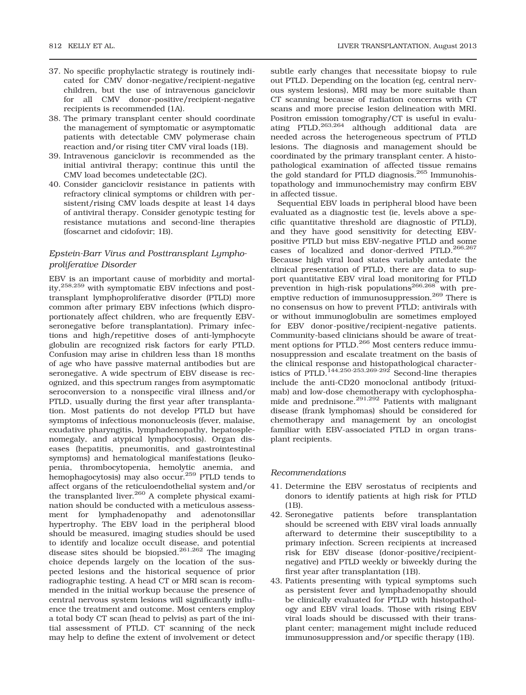- 37. No specific prophylactic strategy is routinely indicated for CMV donor-negative/recipient-negative children, but the use of intravenous ganciclovir for all CMV donor-positive/recipient-negative
- recipients is recommended (1A). 38. The primary transplant center should coordinate the management of symptomatic or asymptomatic patients with detectable CMV polymerase chain reaction and/or rising titer CMV viral loads (1B).
- 39. Intravenous ganciclovir is recommended as the initial antiviral therapy; continue this until the CMV load becomes undetectable (2C).
- 40. Consider ganciclovir resistance in patients with refractory clinical symptoms or children with persistent/rising CMV loads despite at least 14 days of antiviral therapy. Consider genotypic testing for resistance mutations and second-line therapies (foscarnet and cidofovir; 1B).

# Epstein-Barr Virus and Posttransplant Lymphoproliferative Disorder

EBV is an important cause of morbidity and mortality,258,259 with symptomatic EBV infections and posttransplant lymphoproliferative disorder (PTLD) more common after primary EBV infections (which disproportionately affect children, who are frequently EBVseronegative before transplantation). Primary infections and high/repetitive doses of anti-lymphocyte globulin are recognized risk factors for early PTLD. Confusion may arise in children less than 18 months of age who have passive maternal antibodies but are seronegative. A wide spectrum of EBV disease is recognized, and this spectrum ranges from asymptomatic seroconversion to a nonspecific viral illness and/or PTLD, usually during the first year after transplantation. Most patients do not develop PTLD but have symptoms of infectious mononucleosis (fever, malaise, exudative pharyngitis, lymphadenopathy, hepatosplenomegaly, and atypical lymphocytosis). Organ diseases (hepatitis, pneumonitis, and gastrointestinal symptoms) and hematological manifestations (leukopenia, thrombocytopenia, hemolytic anemia, and hemophagocytosis) may also occur.<sup>259</sup> PTLD tends to affect organs of the reticuloendothelial system and/or the transplanted liver.<sup>260</sup> A complete physical examination should be conducted with a meticulous assessment for lymphadenopathy and adenotonsillar hypertrophy. The EBV load in the peripheral blood should be measured, imaging studies should be used to identify and localize occult disease, and potential disease sites should be biopsied.<sup>261,262</sup> The imaging choice depends largely on the location of the suspected lesions and the historical sequence of prior radiographic testing. A head CT or MRI scan is recommended in the initial workup because the presence of central nervous system lesions will significantly influence the treatment and outcome. Most centers employ a total body CT scan (head to pelvis) as part of the initial assessment of PTLD. CT scanning of the neck may help to define the extent of involvement or detect

subtle early changes that necessitate biopsy to rule out PTLD. Depending on the location (eg, central nervous system lesions), MRI may be more suitable than CT scanning because of radiation concerns with CT scans and more precise lesion delineation with MRI. Positron emission tomography/CT is useful in evaluating PTLD,  $^{263,264}$  although additional data are although additional data are needed across the heterogeneous spectrum of PTLD lesions. The diagnosis and management should be coordinated by the primary transplant center. A histopathological examination of affected tissue remains the gold standard for PTLD diagnosis.265 Immunohistopathology and immunochemistry may confirm EBV in affected tissue.

Sequential EBV loads in peripheral blood have been evaluated as a diagnostic test (ie, levels above a specific quantitative threshold are diagnostic of PTLD), and they have good sensitivity for detecting EBVpositive PTLD but miss EBV-negative PTLD and some cases of localized and donor-derived PTLD.266,267 Because high viral load states variably antedate the clinical presentation of PTLD, there are data to support quantitative EBV viral load monitoring for PTLD prevention in high-risk populations<sup>266,268</sup> with preemptive reduction of immunosuppression.<sup>269</sup> There is no consensus on how to prevent PTLD; antivirals with or without immunoglobulin are sometimes employed for EBV donor-positive/recipient-negative patients. Community-based clinicians should be aware of treatment options for PTLD.<sup>266</sup> Most centers reduce immunosuppression and escalate treatment on the basis of the clinical response and histopathological characteristics of PTLD.<sup>144,250-253,269-292</sup> Second-line therapies include the anti-CD20 monoclonal antibody (rituximab) and low-dose chemotherapy with cyclophosphamide and prednisone.<sup>291,292</sup> Patients with malignant disease (frank lymphomas) should be considered for chemotherapy and management by an oncologist familiar with EBV-associated PTLD in organ transplant recipients.

#### Recommendations

- 41. Determine the EBV serostatus of recipients and donors to identify patients at high risk for PTLD (1B).
- 42. Seronegative patients before transplantation should be screened with EBV viral loads annually afterward to determine their susceptibility to a primary infection. Screen recipients at increased risk for EBV disease (donor-positive/recipientnegative) and PTLD weekly or biweekly during the first year after transplantation (1B).
- 43. Patients presenting with typical symptoms such as persistent fever and lymphadenopathy should be clinically evaluated for PTLD with histopathology and EBV viral loads. Those with rising EBV viral loads should be discussed with their transplant center; management might include reduced immunosuppression and/or specific therapy (1B).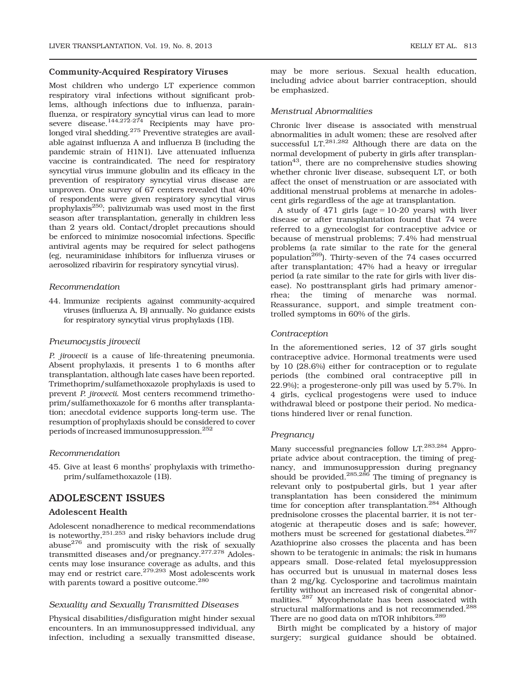## Community-Acquired Respiratory Viruses

Most children who undergo LT experience common respiratory viral infections without significant problems, although infections due to influenza, parainfluenza, or respiratory syncytial virus can lead to more severe disease.<sup>144,272-274</sup> Recipients may have prolonged viral shedding.<sup>275</sup> Preventive strategies are available against influenza A and influenza B (including the pandemic strain of H1N1). Live attenuated influenza vaccine is contraindicated. The need for respiratory syncytial virus immune globulin and its efficacy in the prevention of respiratory syncytial virus disease are unproven. One survey of 67 centers revealed that 40% of respondents were given respiratory syncytial virus prophylaxis $^{250}$ ; palivizumab was used most in the first season after transplantation, generally in children less than 2 years old. Contact/droplet precautions should be enforced to minimize nosocomial infections. Specific antiviral agents may be required for select pathogens (eg, neuraminidase inhibitors for influenza viruses or aerosolized ribavirin for respiratory syncytial virus).

#### Recommendation

44. Immunize recipients against community-acquired viruses (influenza A, B) annually. No guidance exists for respiratory syncytial virus prophylaxis (1B).

#### Pneumocystis jirovecii

P. jirovecii is a cause of life-threatening pneumonia. Absent prophylaxis, it presents 1 to 6 months after transplantation, although late cases have been reported. Trimethoprim/sulfamethoxazole prophylaxis is used to prevent P. jirovecii. Most centers recommend trimethoprim/sulfamethoxazole for 6 months after transplantation; anecdotal evidence supports long-term use. The resumption of prophylaxis should be considered to cover periods of increased immunosuppression.<sup>252</sup>

#### Recommendation

45. Give at least 6 months' prophylaxis with trimethoprim/sulfamethoxazole (1B).

# ADOLESCENT ISSUES

#### Adolescent Health

Adolescent nonadherence to medical recommendations is noteworthy, $^{251,253}$  and risky behaviors include drug abuse<sup>276</sup> and promiscuity with the risk of sexually transmitted diseases and/or pregnancy.277,278 Adolescents may lose insurance coverage as adults, and this may end or restrict care.<sup>279,293</sup> Most adolescents work with parents toward a positive outcome.<sup>280</sup>

#### Sexuality and Sexually Transmitted Diseases

Physical disabilities/disfiguration might hinder sexual encounters. In an immunosuppressed individual, any infection, including a sexually transmitted disease,

may be more serious. Sexual health education, including advice about barrier contraception, should be emphasized.

#### Menstrual Abnormalities

Chronic liver disease is associated with menstrual abnormalities in adult women; these are resolved after successful LT.<sup>281,282</sup> Although there are data on the normal development of puberty in girls after transplan- $\arctan^{43}$ , there are no comprehensive studies showing whether chronic liver disease, subsequent LT, or both affect the onset of menstruation or are associated with additional menstrual problems at menarche in adolescent girls regardless of the age at transplantation.

A study of  $471$  girls (age = 10-20 years) with liver disease or after transplantation found that 74 were referred to a gynecologist for contraceptive advice or because of menstrual problems; 7.4% had menstrual problems (a rate similar to the rate for the general population<sup>269</sup>). Thirty-seven of the 74 cases occurred after transplantation; 47% had a heavy or irregular period (a rate similar to the rate for girls with liver disease). No posttransplant girls had primary amenorrhea; the timing of menarche was normal. Reassurance, support, and simple treatment controlled symptoms in 60% of the girls.

#### Contraception

In the aforementioned series, 12 of 37 girls sought contraceptive advice. Hormonal treatments were used by 10 (28.6%) either for contraception or to regulate periods (the combined oral contraceptive pill in 22.9%); a progesterone-only pill was used by 5.7%. In 4 girls, cyclical progestogens were used to induce withdrawal bleed or postpone their period. No medications hindered liver or renal function.

#### Pregnancy

Many successful pregnancies follow LT.<sup>283,284</sup> Appropriate advice about contraception, the timing of pregnancy, and immunosuppression during pregnancy should be provided.<sup>285,286</sup> The timing of pregnancy is relevant only to postpubertal girls, but 1 year after transplantation has been considered the minimum time for conception after transplantation.<sup>284</sup> Although prednisolone crosses the placental barrier, it is not teratogenic at therapeutic doses and is safe; however, mothers must be screened for gestational diabetes.<sup>287</sup> Azathioprine also crosses the placenta and has been shown to be teratogenic in animals; the risk in humans appears small. Dose-related fetal myelosuppression has occurred but is unusual in maternal doses less than 2 mg/kg. Cyclosporine and tacrolimus maintain fertility without an increased risk of congenital abnormalities.287 Mycophenolate has been associated with structural malformations and is not recommended.<sup>288</sup> There are no good data on mTOR inhibitors.<sup>289</sup>

Birth might be complicated by a history of major surgery; surgical guidance should be obtained.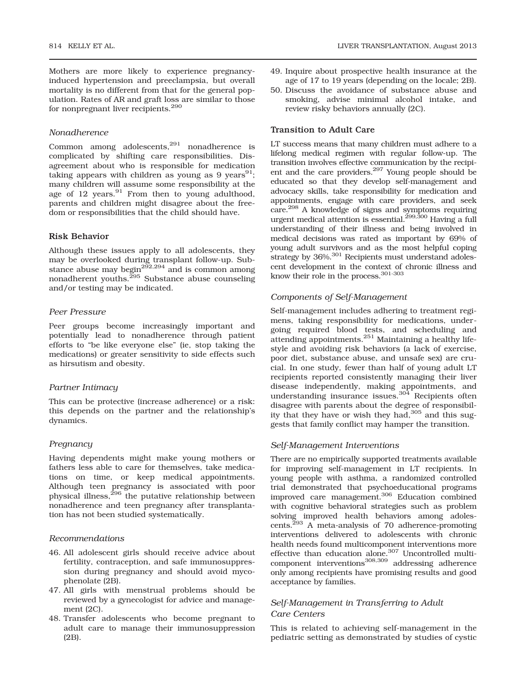Mothers are more likely to experience pregnancyinduced hypertension and preeclampsia, but overall mortality is no different from that for the general population. Rates of AR and graft loss are similar to those for nonpregnant liver recipients.<sup>290</sup>

#### Nonadherence

Common among adolescents, $^{291}$  nonadherence is complicated by shifting care responsibilities. Disagreement about who is responsible for medication taking appears with children as young as 9 years<sup>91</sup>; many children will assume some responsibility at the age of 12 years. $91$  From then to young adulthood, parents and children might disagree about the freedom or responsibilities that the child should have.

# Risk Behavior

Although these issues apply to all adolescents, they may be overlooked during transplant follow-up. Substance abuse may begin<sup>292,294</sup> and is common among nonadherent youths.<sup>295</sup> Substance abuse counseling and/or testing may be indicated.

#### Peer Pressure

Peer groups become increasingly important and potentially lead to nonadherence through patient efforts to "be like everyone else" (ie, stop taking the medications) or greater sensitivity to side effects such as hirsutism and obesity.

#### Partner Intimacy

This can be protective (increase adherence) or a risk: this depends on the partner and the relationship's dynamics.

#### Pregnancy

Having dependents might make young mothers or fathers less able to care for themselves, take medications on time, or keep medical appointments. Although teen pregnancy is associated with poor physical illness,<sup>296</sup> the putative relationship between nonadherence and teen pregnancy after transplantation has not been studied systematically.

# Recommendations

- 46. All adolescent girls should receive advice about fertility, contraception, and safe immunosuppression during pregnancy and should avoid mycophenolate (2B).
- 47. All girls with menstrual problems should be reviewed by a gynecologist for advice and management (2C).
- 48. Transfer adolescents who become pregnant to adult care to manage their immunosuppression (2B).
- 49. Inquire about prospective health insurance at the age of 17 to 19 years (depending on the locale; 2B).
- 50. Discuss the avoidance of substance abuse and smoking, advise minimal alcohol intake, and review risky behaviors annually (2C).

#### Transition to Adult Care

LT success means that many children must adhere to a lifelong medical regimen with regular follow-up. The transition involves effective communication by the recipient and the care providers.<sup>297</sup> Young people should be educated so that they develop self-management and advocacy skills, take responsibility for medication and appointments, engage with care providers, and seek care.298 A knowledge of signs and symptoms requiring urgent medical attention is essential.<sup>299,300</sup> Having a full understanding of their illness and being involved in medical decisions was rated as important by 69% of young adult survivors and as the most helpful coping strategy by 36%.<sup>301</sup> Recipients must understand adolescent development in the context of chronic illness and know their role in the process.301-303

#### Components of Self-Management

Self-management includes adhering to treatment regimens, taking responsibility for medications, undergoing required blood tests, and scheduling and attending appointments.<sup>251</sup> Maintaining a healthy lifestyle and avoiding risk behaviors (a lack of exercise, poor diet, substance abuse, and unsafe sex) are crucial. In one study, fewer than half of young adult LT recipients reported consistently managing their liver disease independently, making appointments, and understanding insurance issues.<sup>304</sup> Recipients often disagree with parents about the degree of responsibility that they have or wish they had,  $305$  and this suggests that family conflict may hamper the transition.

## Self-Management Interventions

There are no empirically supported treatments available for improving self-management in LT recipients. In young people with asthma, a randomized controlled trial demonstrated that psychoeducational programs improved care management.<sup>306</sup> Education combined with cognitive behavioral strategies such as problem solving improved health behaviors among adolescents. $293$  A meta-analysis of 70 adherence-promoting interventions delivered to adolescents with chronic health needs found multicomponent interventions more effective than education alone.<sup>307</sup> Uncontrolled multicomponent interventions<sup>308,309</sup> addressing adherence only among recipients have promising results and good acceptance by families.

# Self-Management in Transferring to Adult Care Centers

This is related to achieving self-management in the pediatric setting as demonstrated by studies of cystic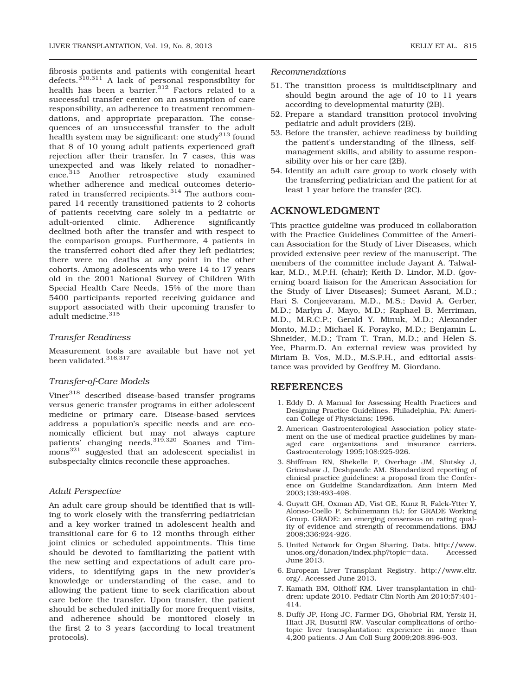fibrosis patients and patients with congenital heart defects.<sup>310,311</sup> A lack of personal responsibility for health has been a barrier.<sup>312</sup> Factors related to a successful transfer center on an assumption of care responsibility, an adherence to treatment recommendations, and appropriate preparation. The consequences of an unsuccessful transfer to the adult health system may be significant: one study<sup>313</sup> found that 8 of 10 young adult patients experienced graft rejection after their transfer. In 7 cases, this was unexpected and was likely related to nonadherence.<sup>313</sup> Another retrospective study examined whether adherence and medical outcomes deteriorated in transferred recipients.<sup>314</sup> The authors compared 14 recently transitioned patients to 2 cohorts of patients receiving care solely in a pediatric or adult-oriented clinic. Adherence significantly declined both after the transfer and with respect to the comparison groups. Furthermore, 4 patients in the transferred cohort died after they left pediatrics; there were no deaths at any point in the other cohorts. Among adolescents who were 14 to 17 years old in the 2001 National Survey of Children With Special Health Care Needs, 15% of the more than 5400 participants reported receiving guidance and support associated with their upcoming transfer to

# Transfer Readiness

adult medicine.<sup>315</sup>

Measurement tools are available but have not yet been validated.<sup>316,317</sup>

# Transfer-of-Care Models

Viner<sup>318</sup> described disease-based transfer programs versus generic transfer programs in either adolescent medicine or primary care. Disease-based services address a population's specific needs and are economically efficient but may not always capture patients' changing needs.<sup>319,320</sup> Soanes and Timmons<sup>321</sup> suggested that an adolescent specialist in subspecialty clinics reconcile these approaches.

# Adult Perspective

An adult care group should be identified that is willing to work closely with the transferring pediatrician and a key worker trained in adolescent health and transitional care for 6 to 12 months through either joint clinics or scheduled appointments. This time should be devoted to familiarizing the patient with the new setting and expectations of adult care providers, to identifying gaps in the new provider's knowledge or understanding of the case, and to allowing the patient time to seek clarification about care before the transfer. Upon transfer, the patient should be scheduled initially for more frequent visits, and adherence should be monitored closely in the first 2 to 3 years (according to local treatment protocols).

# Recommendations

- 51. The transition process is multidisciplinary and should begin around the age of 10 to 11 years according to developmental maturity (2B).
- 52. Prepare a standard transition protocol involving pediatric and adult providers (2B).
- 53. Before the transfer, achieve readiness by building the patient's understanding of the illness, selfmanagement skills, and ability to assume responsibility over his or her care (2B).
- 54. Identify an adult care group to work closely with the transferring pediatrician and the patient for at least 1 year before the transfer (2C).

# ACKNOWLEDGMENT

This practice guideline was produced in collaboration with the Practice Guidelines Committee of the American Association for the Study of Liver Diseases, which provided extensive peer review of the manuscript. The members of the committee include Jayant A. Talwalkar, M.D., M.P.H. (chair); Keith D. Lindor, M.D. (governing board liaison for the American Association for the Study of Liver Diseases); Sumeet Asrani, M.D.; Hari S. Conjeevaram, M.D., M.S.; David A. Gerber, M.D.; Marlyn J. Mayo, M.D.; Raphael B. Merriman, M.D., M.R.C.P.; Gerald Y. Minuk, M.D.; Alexander Monto, M.D.; Michael K. Porayko, M.D.; Benjamin L. Shneider, M.D.; Tram T. Tran, M.D.; and Helen S. Yee, Pharm.D. An external review was provided by Miriam B. Vos, M.D., M.S.P.H., and editorial assistance was provided by Geoffrey M. Giordano.

# REFERENCES

- 1. Eddy D. A Manual for Assessing Health Practices and Designing Practice Guidelines. Philadelphia, PA: American College of Physicians; 1996.
- 2. American Gastroenterological Association policy statement on the use of medical practice guidelines by managed care organizations and insurance carriers. Gastroenterology 1995;108:925-926.
- 3. Shiffman RN, Shekelle P, Overhage JM, Slutsky J, Grimshaw J, Deshpande AM. Standardized reporting of clinical practice guidelines: a proposal from the Conference on Guideline Standardization. Ann Intern Med 2003;139:493-498.
- 4. Guyatt GH, Oxman AD, Vist GE, Kunz R, Falck-Ytter Y, Alonso-Coello P, Schünemann HJ; for GRADE Working Group. GRADE: an emerging consensus on rating quality of evidence and strength of recommendations. BMJ 2008;336:924-926.
- 5. United Network for Organ Sharing. Data. [http://www.](http://www.unos.org/donation/index.php?topic=data) [unos.org/donation/index.php?topic](http://www.unos.org/donation/index.php?topic=data)=[data](http://www.unos.org/donation/index.php?topic=data). Accessed June 2013.
- 6. European Liver Transplant Registry. [http://www.eltr.](http://www.eltr.org/) [org/](http://www.eltr.org/). Accessed June 2013.
- 7. Kamath BM, Olthoff KM. Liver transplantation in children: update 2010. Pediatr Clin North Am 2010;57:401- 414.
- 8. Duffy JP, Hong JC, Farmer DG, Ghobrial RM, Yersiz H, Hiatt JR, Busuttil RW. Vascular complications of orthotopic liver transplantation: experience in more than 4,200 patients. J Am Coll Surg 2009;208:896-903.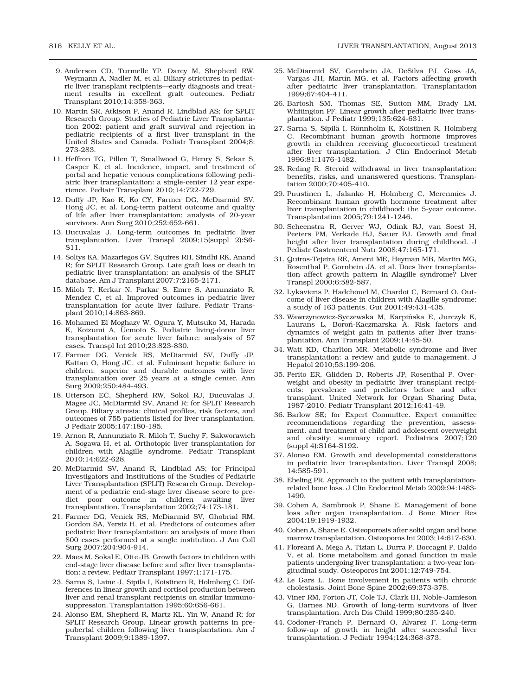- 9. Anderson CD, Turmelle YP, Darcy M, Shepherd RW, Weymann A, Nadler M, et al. Biliary strictures in pediatric liver transplant recipients—early diagnosis and treatment results in excellent graft outcomes. Pediatr Transplant 2010;14:358-363.
- 10. Martin SR, Atkison P, Anand R, Lindblad AS; for SPLIT Research Group. Studies of Pediatric Liver Transplantation 2002: patient and graft survival and rejection in pediatric recipients of a first liver transplant in the United States and Canada. Pediatr Transplant 2004;8: 273-283.
- 11. Heffron TG, Pillen T, Smallwood G, Henry S, Sekar S, Casper K, et al. Incidence, impact, and treatment of portal and hepatic venous complications following pediatric liver transplantation: a single-center 12 year experience. Pediatr Transplant 2010;14:722-729.
- 12. Duffy JP, Kao K, Ko CY, Farmer DG, McDiarmid SV, Hong JC, et al. Long-term patient outcome and quality of life after liver transplantation: analysis of 20-year survivors. Ann Surg 2010;252:652-661.
- 13. Bucuvalas J. Long-term outcomes in pediatric liver transplantation. Liver Transpl 2009;15(suppl 2):S6- S11.
- 14. Soltys KA, Mazariegos GV, Squires RH, Sindhi RK, Anand R; for SPLIT Research Group. Late graft loss or death in pediatric liver transplantation: an analysis of the SPLIT database. Am J Transplant 2007;7:2165-2171.
- 15. Miloh T, Kerkar N, Parkar S, Emre S, Annunziato R, Mendez C, et al. Improved outcomes in pediatric liver transplantation for acute liver failure. Pediatr Transplant 2010;14:863-869.
- 16. Mohamed El Moghazy W, Ogura Y, Mutsuko M, Harada K, Koizumi A, Uemoto S. Pediatric living-donor liver transplantation for acute liver failure: analysis of 57 cases. Transpl Int 2010;23:823-830.
- 17. Farmer DG, Venick RS, McDiarmid SV, Duffy JP, Kattan O, Hong JC, et al. Fulminant hepatic failure in children: superior and durable outcomes with liver transplantation over 25 years at a single center. Ann Surg 2009;250:484-493.
- 18. Utterson EC, Shepherd RW, Sokol RJ, Bucuvalas J, Magee JC, McDiarmid SV, Anand R; for SPLIT Research Group. Biliary atresia: clinical profiles, risk factors, and outcomes of 755 patients listed for liver transplantation. J Pediatr 2005;147:180-185.
- 19. Arnon R, Annunziato R, Miloh T, Suchy F, Sakworawich A, Sogawa H, et al. Orthotopic liver transplantation for children with Alagille syndrome. Pediatr Transplant 2010;14:622-628.
- 20. McDiarmid SV, Anand R, Lindblad AS; for Principal Investigators and Institutions of the Studies of Pediatric Liver Transplantation (SPLIT) Research Group. Development of a pediatric end-stage liver disease score to predict poor outcome in children awaiting liver transplantation. Transplantation 2002;74:173-181.
- 21. Farmer DG, Venick RS, McDiarmid SV, Ghobrial RM, Gordon SA, Yersiz H, et al. Predictors of outcomes after pediatric liver transplantation: an analysis of more than 800 cases performed at a single institution. J Am Coll Surg 2007;204:904-914.
- 22. Maes M, Sokal E, Otte JB. Growth factors in children with end-stage liver disease before and after liver transplantation: a review. Pediatr Transplant 1997;1:171-175.
- 23. Sarna S, Laine J, Sipila I, Koistinen R, Holmberg C. Differences in linear growth and cortisol production between liver and renal transplant recipients on similar immunosuppression. Transplantation 1995;60:656-661.
- 24. Alonso EM, Shepherd R, Martz KL, Yin W, Anand R; for SPLIT Research Group. Linear growth patterns in prepubertal children following liver transplantation. Am J Transplant 2009;9:1389-1397.
- 25. McDiarmid SV, Gornbein JA, DeSilva PJ, Goss JA, Vargas JH, Martín MG, et al. Factors affecting growth after pediatric liver transplantation. Transplantation 1999;67:404-411.
- 26. Bartosh SM, Thomas SE, Sutton MM, Brady LM, Whitington PF. Linear growth after pediatric liver transplantation. J Pediatr 1999;135:624-631.
- 27. Sarna S, Sipilä I, Rönnholm K, Koistinen R, Holmberg C. Recombinant human growth hormone improves growth in children receiving glucocorticoid treatment after liver transplantation. J Clin Endocrinol Metab 1996;81:1476-1482.
- 28. Reding R. Steroid withdrawal in liver transplantation: benefits, risks, and unanswered questions. Transplantation 2000;70:405-410.
- 29. Puustinen L, Jalanko H, Holmberg C, Merenmies J. Recombinant human growth hormone treatment after liver transplantation in childhood: the 5-year outcome. Transplantation 2005;79:1241-1246.
- 30. Scheenstra R, Gerver WJ, Odink RJ, van Soest H, Peeters PM, Verkade HJ, Sauer PJ. Growth and final height after liver transplantation during childhood. J Pediatr Gastroenterol Nutr 2008;47:165-171.
- 31. Quiros-Tejeira RE, Ament ME, Heyman MB, Martin MG, Rosenthal P, Gornbein JA, et al. Does liver transplantation affect growth pattern in Alagille syndrome? Liver Transpl 2000;6:582-587.
- 32. Lykavieris P, Hadchouel M, Chardot C, Bernard O. Outcome of liver disease in children with Alagille syndrome: a study of 163 patients. Gut 2001;49:431-435.
- 33. Wawrzynowicz-Syczewska M, Karpińska E, Jurczyk K, Laurans L, Boroń-Kaczmarska A. Risk factors and dynamics of weight gain in patients after liver transplantation. Ann Transplant 2009;14:45-50.
- 34. Watt KD, Charlton MR. Metabolic syndrome and liver transplantation: a review and guide to management. J Hepatol 2010;53:199-206.
- 35. Perito ER, Glidden D, Roberts JP, Rosenthal P. Overweight and obesity in pediatric liver transplant recipients: prevalence and predictors before and after transplant, United Network for Organ Sharing Data, 1987-2010. Pediatr Transplant 2012;16:41-49.
- 36. Barlow SE; for Expert Committee. Expert committee recommendations regarding the prevention, assessment, and treatment of child and adolescent overweight and obesity: summary report. Pediatrics 2007;120 (suppl 4):S164-S192.
- 37. Alonso EM. Growth and developmental considerations in pediatric liver transplantation. Liver Transpl 2008; 14:585-591.
- 38. Ebeling PR. Approach to the patient with transplantationrelated bone loss. J Clin Endocrinol Metab 2009;94:1483- 1490.
- 39. Cohen A, Sambrook P, Shane E. Management of bone loss after organ transplantation. J Bone Miner Res 2004;19:1919-1932.
- 40. Cohen A, Shane E. Osteoporosis after solid organ and bone marrow transplantation. Osteoporos Int 2003;14:617-630.
- 41. Floreani A, Mega A, Tizian L, Burra P, Boccagni P, Baldo V, et al. Bone metabolism and gonad function in male patients undergoing liver transplantation: a two-year longitudinal study. Osteoporos Int 2001;12:749-754.
- 42. Le Gars L. Bone involvement in patients with chronic cholestasis. Joint Bone Spine 2002;69:373-378.
- 43. Viner RM, Forton JT, Cole TJ, Clark IH, Noble-Jamieson G, Barnes ND. Growth of long-term survivors of liver transplantation. Arch Dis Child 1999;80:235-240.
- 44. Codoner-Franch P, Bernard O, Alvarez F. Long-term follow-up of growth in height after successful liver transplantation. J Pediatr 1994;124:368-373.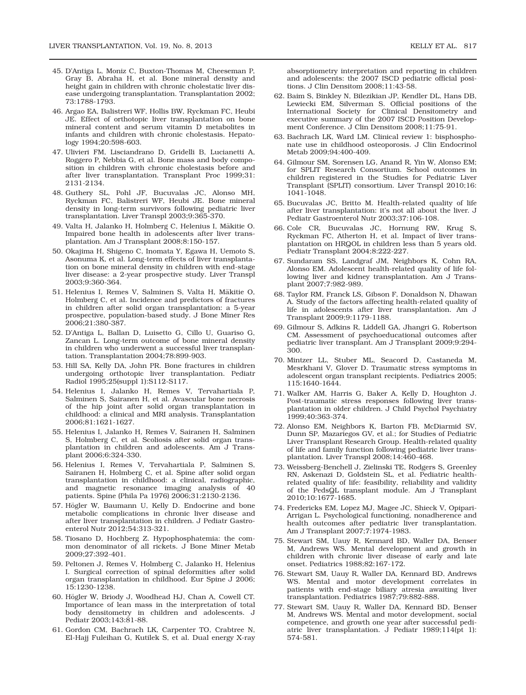- 45. D'Antiga L, Moniz C, Buxton-Thomas M, Cheeseman P, Gray B, Abraha H, et al. Bone mineral density and height gain in children with chronic cholestatic liver disease undergoing transplantation. Transplantation 2002; 73:1788-1793.
- 46. Argao EA, Balistreri WF, Hollis BW, Ryckman FC, Heubi JE. Effect of orthotopic liver transplantation on bone mineral content and serum vitamin D metabolites in infants and children with chronic cholestasis. Hepatology 1994;20:598-603.
- 47. Ulivieri FM, Lisciandrano D, Gridelli B, Lucianetti A, Roggero P, Nebbia G, et al. Bone mass and body composition in children with chronic cholestasis before and after liver transplantation. Transplant Proc 1999;31: 2131-2134.
- 48. Guthery SL, Pohl JF, Bucuvalas JC, Alonso MH, Ryckman FC, Balistreri WF, Heubi JE. Bone mineral density in long-term survivors following pediatric liver transplantation. Liver Transpl 2003;9:365-370.
- 49. Valta H, Jalanko H, Holmberg C, Helenius I, Mäkitie O. Impaired bone health in adolescents after liver transplantation. Am J Transplant 2008;8:150-157.
- 50. Okajima H, Shigeno C, Inomata Y, Egawa H, Uemoto S, Asonuma K, et al. Long-term effects of liver transplantation on bone mineral density in children with end-stage liver disease: a 2-year prospective study. Liver Transpl 2003;9:360-364.
- 51. Helenius I, Remes V, Salminen S, Valta H, Mäkitie O, Holmberg C, et al. Incidence and predictors of fractures in children after solid organ transplantation: a 5-year prospective, population-based study. J Bone Miner Res 2006;21:380-387.
- 52. D'Antiga L, Ballan D, Luisetto G, Cillo U, Guariso G, Zancan L. Long-term outcome of bone mineral density in children who underwent a successful liver transplantation. Transplantation 2004;78:899-903.
- 53. Hill SA, Kelly DA, John PR. Bone fractures in children undergoing orthotopic liver transplantation. Pediatr Radiol 1995;25(suppl 1):S112-S117.
- 54. Helenius I, Jalanko H, Remes V, Tervahartiala P, Salminen S, Sairanen H, et al. Avascular bone necrosis of the hip joint after solid organ transplantation in childhood: a clinical and MRI analysis. Transplantation 2006;81:1621-1627.
- 55. Helenius I, Jalanko H, Remes V, Sairanen H, Salminen S, Holmberg C, et al. Scoliosis after solid organ transplantation in children and adolescents. Am J Transplant 2006;6:324-330.
- 56. Helenius I, Remes V, Tervahartiala P, Salminen S, Sairanen H, Holmberg C, et al. Spine after solid organ transplantation in childhood: a clinical, radiographic, and magnetic resonance imaging analysis of 40 patients. Spine (Phila Pa 1976) 2006;31:2130-2136.
- 57. Högler W, Baumann U, Kelly D. Endocrine and bone metabolic complications in chronic liver disease and after liver transplantation in children. J Pediatr Gastroenterol Nutr 2012;54:313-321.
- 58. Tiosano D, Hochberg Z. Hypophosphatemia: the common denominator of all rickets. J Bone Miner Metab 2009;27:392-401.
- 59. Peltonen J, Remes V, Holmberg C, Jalanko H, Helenius I. Surgical correction of spinal deformities after solid organ transplantation in childhood. Eur Spine J 2006; 15:1230-1238.
- 60. Högler W, Briody J, Woodhead HJ, Chan A, Cowell CT. Importance of lean mass in the interpretation of total body densitometry in children and adolescents. J Pediatr 2003;143:81-88.
- 61. Gordon CM, Bachrach LK, Carpenter TO, Crabtree N, El-Hajj Fuleihan G, Kutilek S, et al. Dual energy X-ray

absorptiometry interpretation and reporting in children and adolescents: the 2007 ISCD pediatric official positions. J Clin Densitom 2008;11:43-58.

- 62. Baim S, Binkley N, Bilezikian JP, Kendler DL, Hans DB, Lewiecki EM, Silverman S. Official positions of the International Society for Clinical Densitometry and executive summary of the 2007 ISCD Position Development Conference. J Clin Densitom 2008;11:75-91.
- 63. Bachrach LK, Ward LM. Clinical review 1: bisphosphonate use in childhood osteoporosis. J Clin Endocrinol Metab 2009;94:400-409.
- 64. Gilmour SM, Sorensen LG, Anand R, Yin W, Alonso EM; for SPLIT Research Consortium. School outcomes in children registered in the Studies for Pediatric Liver Transplant (SPLIT) consortium. Liver Transpl 2010;16: 1041-1048.
- 65. Bucuvalas JC, Britto M. Health-related quality of life after liver transplantation: it's not all about the liver. J Pediatr Gastroenterol Nutr 2003;37:106-108.
- 66. Cole CR, Bucuvalas JC, Hornung RW, Krug S, Ryckman FC, Atherton H, et al. Impact of liver transplantation on HRQOL in children less than 5 years old. Pediatr Transplant 2004;8:222-227.
- 67. Sundaram SS, Landgraf JM, Neighbors K, Cohn RA, Alonso EM. Adolescent health-related quality of life following liver and kidney transplantation. Am J Transplant 2007;7:982-989.
- 68. Taylor RM, Franck LS, Gibson F, Donaldson N, Dhawan A. Study of the factors affecting health-related quality of life in adolescents after liver transplantation. Am J Transplant 2009;9:1179-1188.
- 69. Gilmour S, Adkins R, Liddell GA, Jhangri G, Robertson CM. Assessment of psychoeducational outcomes after pediatric liver transplant. Am J Transplant 2009;9:294- 300.
- 70. Mintzer LL, Stuber ML, Seacord D, Castaneda M, Mesrkhani V, Glover D. Traumatic stress symptoms in adolescent organ transplant recipients. Pediatrics 2005; 115:1640-1644.
- 71. Walker AM, Harris G, Baker A, Kelly D, Houghton J. Post-traumatic stress responses following liver transplantation in older children. J Child Psychol Psychiatry 1999;40:363-374.
- 72. Alonso EM, Neighbors K, Barton FB, McDiarmid SV, Dunn SP, Mazariegos GV, et al.; for Studies of Pediatric Liver Transplant Research Group. Health-related quality of life and family function following pediatric liver transplantation. Liver Transpl 2008;14:460-468.
- 73. Weissberg-Benchell J, Zielinski TE, Rodgers S, Greenley RN, Askenazi D, Goldstein SL, et al. Pediatric healthrelated quality of life: feasibility, reliability and validity of the PedsQL transplant module. Am J Transplant 2010;10:1677-1685.
- 74. Fredericks EM, Lopez MJ, Magee JC, Shieck V, Opipari-Arrigan L. Psychological functioning, nonadherence and health outcomes after pediatric liver transplantation. Am J Transplant 2007;7:1974-1983.
- 75. Stewart SM, Uauy R, Kennard BD, Waller DA, Benser M, Andrews WS. Mental development and growth in children with chronic liver disease of early and late onset. Pediatrics 1988;82:167-172.
- 76. Stewart SM, Uauy R, Waller DA, Kennard BD, Andrews WS. Mental and motor development correlates in patients with end-stage biliary atresia awaiting liver transplantation. Pediatrics 1987;79:882-888.
- 77. Stewart SM, Uauy R, Waller DA, Kennard BD, Benser M, Andrews WS. Mental and motor development, social competence, and growth one year after successful pediatric liver transplantation. J Pediatr 1989;114(pt 1): 574-581.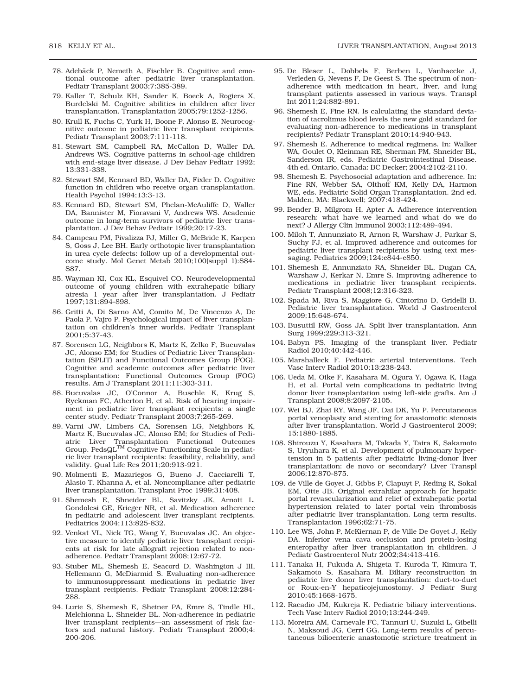- 78. Adebäck P, Nemeth A, Fischler B. Cognitive and emotional outcome after pediatric liver transplantation. Pediatr Transplant 2003;7:385-389.
- 79. Kaller T, Schulz KH, Sander K, Boeck A, Rogiers X, Burdelski M. Cognitive abilities in children after liver transplantation. Transplantation 2005;79:1252-1256.
- 80. Krull K, Fuchs C, Yurk H, Boone P, Alonso E. Neurocognitive outcome in pediatric liver transplant recipients. Pediatr Transplant 2003;7:111-118.
- 81. Stewart SM, Campbell RA, McCallon D, Waller DA, Andrews WS. Cognitive patterns in school-age children with end-stage liver disease. J Dev Behav Pediatr 1992; 13:331-338.
- 82. Stewart SM, Kennard BD, Waller DA, Fixler D. Cognitive function in children who receive organ transplantation. Health Psychol 1994;13:3-13.
- 83. Kennard BD, Stewart SM, Phelan-McAuliffe D, Waller DA, Bannister M, Fioravani V, Andrews WS. Academic outcome in long-term survivors of pediatric liver transplantation. J Dev Behav Pediatr 1999;20:17-23.
- 84. Campeau PM, Pivalizza PJ, Miller G, McBride K, Karpen S, Goss J, Lee BH. Early orthotopic liver transplantation in urea cycle defects: follow up of a developmental outcome study. Mol Genet Metab 2010;100(suppl 1):S84- S87.
- 85. Wayman KI, Cox KL, Esquivel CO. Neurodevelopmental outcome of young children with extrahepatic biliary atresia 1 year after liver transplantation. J Pediatr 1997;131:894-898.
- 86. Gritti A, Di Sarno AM, Comito M, De Vincenzo A, De Paola P, Vajro P. Psychological impact of liver transplantation on children's inner worlds. Pediatr Transplant 2001;5:37-43.
- 87. Sorensen LG, Neighbors K, Martz K, Zelko F, Bucuvalas JC, Alonso EM; for Studies of Pediatric Liver Transplantation (SPLIT) and Functional Outcomes Group (FOG). Cognitive and academic outcomes after pediatric liver transplantation: Functional Outcomes Group (FOG) results. Am J Transplant 2011;11:303-311.
- 88. Bucuvalas JC, O'Connor A, Buschle K, Krug S, Ryckman FC, Atherton H, et al. Risk of hearing impairment in pediatric liver transplant recipients: a single center study. Pediatr Transplant 2003;7:265-269.
- 89. Varni JW, Limbers CA, Sorensen LG, Neighbors K, Martz K, Bucuvalas JC, Alonso EM; for Studies of Pediatric Liver Transplantation Functional Outcomes<br>Group. PedsQL™ Cognitive Functioning Scale in pediatric liver transplant recipients: feasibility, reliability, and validity. Qual Life Res 2011;20:913-921.
- 90. Molmenti E, Mazariegos G, Bueno J, Cacciarelli T, Alasio T, Khanna A, et al. Noncompliance after pediatric liver transplantation. Transplant Proc 1999;31:408.
- 91. Shemesh E, Shneider BL, Savitzky JK, Arnott L, Gondolesi GE, Krieger NR, et al. Medication adherence in pediatric and adolescent liver transplant recipients. Pediatrics 2004;113:825-832.
- 92. Venkat VL, Nick TG, Wang Y, Bucuvalas JC. An objective measure to identify pediatric liver transplant recipients at risk for late allograft rejection related to nonadherence. Pediatr Transplant 2008;12:67-72.
- 93. Stuber ML, Shemesh E, Seacord D, Washington J III, Hellemann G, McDiarmid S. Evaluating non-adherence to immunosuppressant medications in pediatric liver transplant recipients. Pediatr Transplant 2008;12:284- 288.
- 94. Lurie S, Shemesh E, Sheiner PA, Emre S, Tindle HL, Melchionna L, Shneider BL. Non-adherence in pediatric liver transplant recipients—an assessment of risk factors and natural history. Pediatr Transplant 2000;4: 200-206.
- 95. De Bleser L, Dobbels F, Berben L, Vanhaecke J, Verleden G, Nevens F, De Geest S. The spectrum of nonadherence with medication in heart, liver, and lung transplant patients assessed in various ways. Transpl Int 2011;24:882-891.
- 96. Shemesh E, Fine RN. Is calculating the standard deviation of tacrolimus blood levels the new gold standard for evaluating non-adherence to medications in transplant recipients? Pediatr Transplant 2010;14:940-943.
- 97. Shemesh E. Adherence to medical regimens. In: Walker WA, Goulet O, Kleinman RE, Sherman PM, Shneider BL, Sanderson IR, eds. Pediatric Gastrointestinal Disease. 4th ed. Ontario, Canada: BC Decker; 2004:2102-2110.
- 98. Shemesh E. Psychosocial adaptation and adherence. In: Fine RN, Webber SA, Olthoff KM, Kelly DA, Harmon WE, eds. Pediatric Solid Organ Transplantation. 2nd ed. Malden, MA: Blackwell; 2007:418-424.
- 99. Bender B, Milgrom H, Apter A. Adherence intervention research: what have we learned and what do we do next? J Allergy Clin Immunol 2003;112:489-494.
- 100. Miloh T, Annunziato R, Arnon R, Warshaw J, Parkar S, Suchy FJ, et al. Improved adherence and outcomes for pediatric liver transplant recipients by using text messaging. Pediatrics 2009;124:e844-e850.
- 101. Shemesh E, Annunziato RA, Shneider BL, Dugan CA, Warshaw J, Kerkar N, Emre S. Improving adherence to medications in pediatric liver transplant recipients. Pediatr Transplant 2008;12:316-323.
- 102. Spada M, Riva S, Maggiore G, Cintorino D, Gridelli B. Pediatric liver transplantation. World J Gastroenterol 2009;15:648-674.
- 103. Busuttil RW, Goss JA. Split liver transplantation. Ann Surg 1999;229:313-321.
- 104. Babyn PS. Imaging of the transplant liver. Pediatr Radiol 2010;40:442-446.
- 105. Marshalleck F. Pediatric arterial interventions. Tech Vasc Interv Radiol 2010;13:238-243.
- 106. Ueda M, Oike F, Kasahara M, Ogura Y, Ogawa K, Haga H, et al. Portal vein complications in pediatric living donor liver transplantation using left-side grafts. Am J Transplant 2008;8:2097-2105.
- 107. Wei BJ, Zhai RY, Wang JF, Dai DK, Yu P. Percutaneous portal venoplasty and stenting for anastomotic stenosis after liver transplantation. World J Gastroenterol 2009; 15:1880-1885.
- 108. Shirouzu Y, Kasahara M, Takada Y, Taira K, Sakamoto S, Uryuhara K, et al. Development of pulmonary hypertension in 5 patients after pediatric living-donor liver transplantation: de novo or secondary? Liver Transpl 2006;12:870-875.
- 109. de Ville de Goyet J, Gibbs P, Clapuyt P, Reding R, Sokal EM, Otte JB. Original extrahilar approach for hepatic portal revascularization and relief of extrahepatic portal hypertension related to later portal vein thrombosis after pediatric liver transplantation. Long term results. Transplantation 1996;62:71-75.
- 110. Lee WS, John P, McKiernan P, de Ville De Goyet J, Kelly DA. Inferior vena cava occlusion and protein-losing enteropathy after liver transplantation in children. J Pediatr Gastroenterol Nutr 2002;34:413-416.
- 111. Tanaka H, Fukuda A, Shigeta T, Kuroda T, Kimura T, Sakamoto S, Kasahara M. Biliary reconstruction in pediatric live donor liver transplantation: duct-to-duct or Roux-en-Y hepaticojejunostomy. J Pediatr Surg 2010;45:1668-1675.
- 112. Racadio JM, Kukreja K. Pediatric biliary interventions. Tech Vasc Interv Radiol 2010;13:244-249.
- 113. Moreira AM, Carnevale FC, Tannuri U, Suzuki L, Gibelli N, Maksoud JG, Cerri GG. Long-term results of percutaneous bilioenteric anastomotic stricture treatment in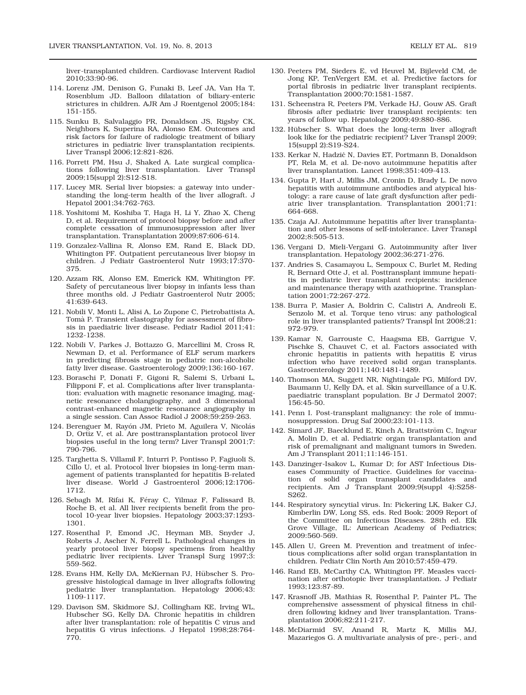liver-transplanted children. Cardiovasc Intervent Radiol 2010;33:90-96.

- 114. Lorenz JM, Denison G, Funaki B, Leef JA, Van Ha T, Rosenblum JD. Balloon dilatation of biliary-enteric strictures in children. AJR Am J Roentgenol 2005;184: 151-155.
- 115. Sunku B, Salvalaggio PR, Donaldson JS, Rigsby CK, Neighbors K, Superina RA, Alonso EM. Outcomes and risk factors for failure of radiologic treatment of biliary strictures in pediatric liver transplantation recipients. Liver Transpl 2006;12:821-826.
- 116. Porrett PM, Hsu J, Shaked A. Late surgical complications following liver transplantation. Liver Transpl 2009;15(suppl 2):S12-S18.
- 117. Lucey MR. Serial liver biopsies: a gateway into understanding the long-term health of the liver allograft. J Hepatol 2001;34:762-763.
- 118. Yoshitomi M, Koshiba T, Haga H, Li Y, Zhao X, Cheng D, et al. Requirement of protocol biopsy before and after complete cessation of immunosuppression after liver transplantation. Transplantation 2009;87:606-614.
- 119. Gonzalez-Vallina R, Alonso EM, Rand E, Black DD, Whitington PF. Outpatient percutaneous liver biopsy in children. J Pediatr Gastroenterol Nutr 1993;17:370- 375.
- 120. Azzam RK, Alonso EM, Emerick KM, Whitington PF. Safety of percutaneous liver biopsy in infants less than three months old. J Pediatr Gastroenterol Nutr 2005; 41:639-643.
- 121. Nobili V, Monti L, Alisi A, Lo Zupone C, Pietrobattista A, Tomà P. Transient elastography for assessment of fibrosis in paediatric liver disease. Pediatr Radiol 2011;41: 1232-1238.
- 122. Nobili V, Parkes J, Bottazzo G, Marcellini M, Cross R, Newman D, et al. Performance of ELF serum markers in predicting fibrosis stage in pediatric non-alcoholic fatty liver disease. Gastroenterology 2009;136:160-167.
- 123. Boraschi P, Donati F, Gigoni R, Salemi S, Urbani L, Filipponi F, et al. Complications after liver transplantation: evaluation with magnetic resonance imaging, magnetic resonance cholangiography, and 3 dimensional contrast-enhanced magnetic resonance angiography in a single session. Can Assoc Radiol J 2008;59:259-263.
- 124. Berenguer M, Rayón JM, Prieto M, Aguilera V, Nicolás D, Ortiz V, et al. Are posttransplantation protocol liver biopsies useful in the long term? Liver Transpl 2001;7: 790-796.
- 125. Targhetta S, Villamil F, Inturri P, Pontisso P, Fagiuoli S, Cillo U, et al. Protocol liver biopsies in long-term management of patients transplanted for hepatitis B-related liver disease. World J Gastroenterol 2006;12:1706- 1712.
- 126. Sebagh M, Rifai K, Féray C, Yilmaz F, Falissard B, Roche B, et al. All liver recipients benefit from the protocol 10-year liver biopsies. Hepatology 2003;37:1293- 1301.
- 127. Rosenthal P, Emond JC, Heyman MB, Snyder J, Roberts J, Ascher N, Ferrell L. Pathological changes in yearly protocol liver biopsy specimens from healthy pediatric liver recipients. Liver Transpl Surg 1997;3: 559-562.
- 128. Evans HM, Kelly DA, McKiernan PJ, Hübscher S. Progressive histological damage in liver allografts following pediatric liver transplantation. Hepatology 2006;43: 1109-1117.
- 129. Davison SM, Skidmore SJ, Collingham KE, Irving WL, Hubscher SG, Kelly DA. Chronic hepatitis in children after liver transplantation: role of hepatitis C virus and hepatitis G virus infections. J Hepatol 1998;28:764- 770.
- 130. Peeters PM, Sieders E, vd Heuvel M, Bijleveld CM, de Jong KP, TenVergert EM, et al. Predictive factors for portal fibrosis in pediatric liver transplant recipients. Transplantation 2000;70:1581-1587.
- 131. Scheenstra R, Peeters PM, Verkade HJ, Gouw AS. Graft fibrosis after pediatric liver transplant recipients: ten years of follow up. Hepatology 2009;49:880-886.
- 132. Hübscher S. What does the long-term liver allograft look like for the pediatric recipient? Liver Transpl 2009; 15(suppl 2):S19-S24.
- 133. Kerkar N, Hadzić N, Davies ET, Portmann B, Donaldson PT, Rela M, et al. De-novo autoimmune hepatitis after liver transplantation. Lancet 1998;351:409-413.
- 134. Gupta P, Hart J, Millis JM, Cronin D, Brady L. De novo hepatitis with autoimmune antibodies and atypical histology: a rare cause of late graft dysfunction after pediatric liver transplantation. Transplantation 2001;71: 664-668.
- 135. Czaja AJ. Autoimmune hepatitis after liver transplantation and other lessons of self-intolerance. Liver Transpl 2002;8:505-513.
- 136. Vergani D, Mieli-Vergani G. Autoimmunity after liver transplantation. Hepatology 2002;36:271-276.
- 137. Andries S, Casamayou L, Sempoux C, Burlet M, Reding R, Bernard Otte J, et al. Posttransplant immune hepatitis in pediatric liver transplant recipients: incidence and maintenance therapy with azathioprine. Transplantation 2001;72:267-272.
- 138. Burra P, Masier A, Boldrin C, Calistri A, Andreoli E, Senzolo M, et al. Torque teno virus: any pathological role in liver transplanted patients? Transpl Int 2008;21: 972-979.
- 139. Kamar N, Garrouste C, Haagsma EB, Garrigue V, Pischke S, Chauvet C, et al. Factors associated with chronic hepatitis in patients with hepatitis E virus infection who have received solid organ transplants. Gastroenterology 2011;140:1481-1489.
- 140. Thomson MA, Suggett NR, Nightingale PG, Milford DV, Baumann U, Kelly DA, et al. Skin surveillance of a U.K. paediatric transplant population. Br J Dermatol 2007; 156:45-50.
- 141. Penn I. Post-transplant malignancy: the role of immunosuppression. Drug Saf 2000;23:101-113.
- 142. Simard JF, Baecklund E, Kinch A, Brattström C, Ingvar A, Molin D, et al. Pediatric organ transplantation and risk of premalignant and malignant tumors in Sweden. Am J Transplant 2011;11:146-151.
- 143. Danzinger-Isakov L, Kumar D; for AST Infectious Diseases Community of Practice. Guidelines for vaccination of solid organ transplant candidates and recipients. Am J Transplant 2009;9(suppl 4):S258- S262.
- 144. Respiratory syncytial virus. In: Pickering LK, Baker CJ, Kimberlin DW, Long SS, eds. Red Book: 2009 Report of the Committee on Infectious Diseases. 28th ed. Elk Grove Village, IL: American Academy of Pediatrics; 2009:560-569.
- 145. Allen U, Green M. Prevention and treatment of infectious complications after solid organ transplantation in children. Pediatr Clin North Am 2010;57:459-479.
- 146. Rand EB, McCarthy CA, Whitington PF. Measles vaccination after orthotopic liver transplantation. J Pediatr 1993;123:87-89.
- 147. Krasnoff JB, Mathias R, Rosenthal P, Painter PL. The comprehensive assessment of physical fitness in children following kidney and liver transplantation. Transplantation 2006;82:211-217.
- 148. McDiarmid SV, Anand R, Martz K, Millis MJ, Mazariegos G. A multivariate analysis of pre-, peri-, and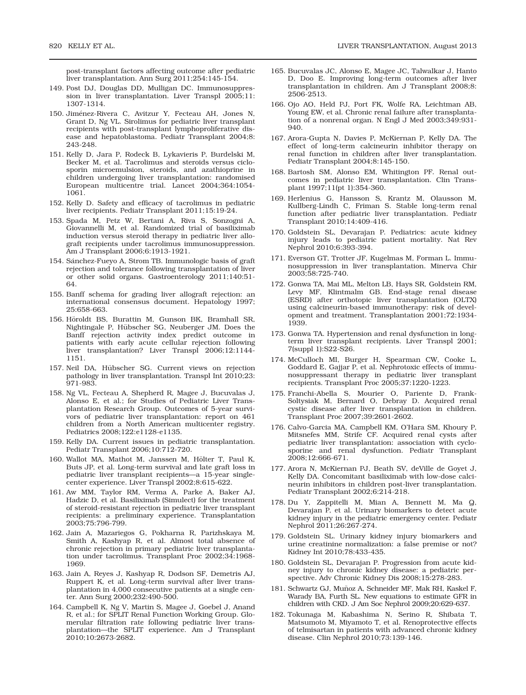post-transplant factors affecting outcome after pediatric liver transplantation. Ann Surg 2011;254:145-154.

- 149. Post DJ, Douglas DD, Mulligan DC. Immunosuppression in liver transplantation. Liver Transpl 2005;11: 1307-1314.
- 150. Jiménez-Rivera C, Avitzur Y, Fecteau AH, Jones N, Grant D, Ng VL. Sirolimus for pediatric liver transplant recipients with post-transplant lymphoproliferative disease and hepatoblastoma. Pediatr Transplant 2004;8: 243-248.
- 151. Kelly D, Jara P, Rodeck B, Lykavieris P, Burdelski M, Becker M, et al. Tacrolimus and steroids versus ciclosporin microemulsion, steroids, and azathioprine in children undergoing liver transplantation: randomised European multicentre trial. Lancet 2004;364:1054- 1061.
- 152. Kelly D. Safety and efficacy of tacrolimus in pediatric liver recipients. Pediatr Transplant 2011;15:19-24.
- 153. Spada M, Petz W, Bertani A, Riva S, Sonzogni A, Giovannelli M, et al. Randomized trial of basiliximab induction versus steroid therapy in pediatric liver allograft recipients under tacrolimus immunosuppression. Am J Transplant 2006;6:1913-1921.
- 154. Sánchez-Fueyo A, Strom TB. Immunologic basis of graft rejection and tolerance following transplantation of liver or other solid organs. Gastroenterology 2011;140:51- 64.
- 155. Banff schema for grading liver allograft rejection: an international consensus document. Hepatology 1997; 25:658-663.
- 156. Höroldt BS, Burattin M, Gunson BK, Bramhall SR, Nightingale P, Hübscher SG, Neuberger JM. Does the Banff rejection activity index predict outcome in patients with early acute cellular rejection following liver transplantation? Liver Transpl 2006;12:1144- 1151.
- 157. Neil DA, Hübscher SG. Current views on rejection pathology in liver transplantation. Transpl Int 2010;23: 971-983.
- 158. Ng VL, Fecteau A, Shepherd R, Magee J, Bucuvalas J, Alonso E, et al.; for Studies of Pediatric Liver Transplantation Research Group. Outcomes of 5-year survivors of pediatric liver transplantation: report on 461 children from a North American multicenter registry. Pediatrics 2008;122:e1128-e1135.
- 159. Kelly DA. Current issues in pediatric transplantation. Pediatr Transplant 2006;10:712-720.
- 160. Wallot MA, Mathot M, Janssen M, Hölter T, Paul K, Buts JP, et al. Long-term survival and late graft loss in pediatric liver transplant recipients—a 15-year singlecenter experience. Liver Transpl 2002;8:615-622.
- 161. Aw MM, Taylor RM, Verma A, Parke A, Baker AJ, Hadzic D, et al. Basiliximab (Simulect) for the treatment of steroid-resistant rejection in pediatric liver transplant recipients: a preliminary experience. Transplantation 2003;75:796-799.
- 162. Jain A, Mazariegos G, Pokharna R, Parizhskaya M, Smith A, Kashyap R, et al. Almost total absence of chronic rejection in primary pediatric liver transplantation under tacrolimus. Transplant Proc 2002;34:1968- 1969.
- 163. Jain A, Reyes J, Kashyap R, Dodson SF, Demetris AJ, Ruppert K, et al. Long-term survival after liver transplantation in 4,000 consecutive patients at a single center. Ann Surg 2000;232:490-500.
- 164. Campbell K, Ng V, Martin S, Magee J, Goebel J, Anand R, et al.; for SPLIT Renal Function Working Group. Glomerular filtration rate following pediatric liver transplantation—the SPLIT experience. Am J Transplant 2010;10:2673-2682.
- 165. Bucuvalas JC, Alonso E, Magee JC, Talwalkar J, Hanto D, Doo E. Improving long-term outcomes after liver transplantation in children. Am J Transplant 2008;8: 2506-2513.
- 166. Ojo AO, Held PJ, Port FK, Wolfe RA, Leichtman AB, Young EW, et al. Chronic renal failure after transplantation of a nonrenal organ. N Engl J Med 2003;349:931- 940.
- 167. Arora-Gupta N, Davies P, McKiernan P, Kelly DA. The effect of long-term calcineurin inhibitor therapy on renal function in children after liver transplantation. Pediatr Transplant 2004;8:145-150.
- 168. Bartosh SM, Alonso EM, Whitington PF. Renal outcomes in pediatric liver transplantation. Clin Transplant 1997;11(pt 1):354-360.
- 169. Herlenius G, Hansson S, Krantz M, Olausson M, Kullberg-Lindh C, Friman S. Stable long-term renal function after pediatric liver transplantation. Pediatr Transplant 2010;14:409-416.
- 170. Goldstein SL, Devarajan P. Pediatrics: acute kidney injury leads to pediatric patient mortality. Nat Rev Nephrol 2010;6:393-394.
- 171. Everson GT, Trotter JF, Kugelmas M, Forman L. Immunosuppression in liver transplantation. Minerva Chir 2003;58:725-740.
- 172. Gonwa TA, Mai ML, Melton LB, Hays SR, Goldstein RM, Levy MF, Klintmalm GB. End-stage renal disease (ESRD) after orthotopic liver transplantation (OLTX) using calcineurin-based immunotherapy: risk of development and treatment. Transplantation 2001;72:1934- 1939.
- 173. Gonwa TA. Hypertension and renal dysfunction in longterm liver transplant recipients. Liver Transpl 2001; 7(suppl 1):S22-S26.
- 174. McCulloch MI, Burger H, Spearman CW, Cooke L, Goddard E, Gajjar P, et al. Nephrotoxic effects of immunosuppressant therapy in pediatric liver transplant recipients. Transplant Proc 2005;37:1220-1223.
- 175. Franchi-Abella S, Mourier O, Pariente D, Frank-Soltysiak M, Bernard O, Debray D. Acquired renal cystic disease after liver transplantation in children. Transplant Proc 2007;39:2601-2602.
- 176. Calvo-Garcia MA, Campbell KM, O'Hara SM, Khoury P, Mitsnefes MM, Strife CF. Acquired renal cysts after pediatric liver transplantation: association with cyclosporine and renal dysfunction. Pediatr Transplant 2008;12:666-671.
- 177. Arora N, McKiernan PJ, Beath SV, deVille de Goyet J, Kelly DA. Concomitant basiliximab with low-dose calcineurin inhibitors in children post-liver transplantation. Pediatr Transplant 2002;6:214-218.
- 178. Du Y, Zappitelli M, Mian A, Bennett M, Ma Q, Devarajan P, et al. Urinary biomarkers to detect acute kidney injury in the pediatric emergency center. Pediatr Nephrol 2011;26:267-274.
- 179. Goldstein SL. Urinary kidney injury biomarkers and urine creatinine normalization: a false premise or not? Kidney Int 2010;78:433-435.
- 180. Goldstein SL, Devarajan P. Progression from acute kidney injury to chronic kidney disease: a pediatric perspective. Adv Chronic Kidney Dis 2008;15:278-283.
- 181. Schwartz GJ, Munoz A, Schneider MF, Mak RH, Kaskel F, ~ Warady BA, Furth SL. New equations to estimate GFR in children with CKD. J Am Soc Nephrol 2009;20:629-637.
- 182. Tokunaga M, Kabashima N, Serino R, Shibata T, Matsumoto M, Miyamoto T, et al. Renoprotective effects of telmisartan in patients with advanced chronic kidney disease. Clin Nephrol 2010;73:139-146.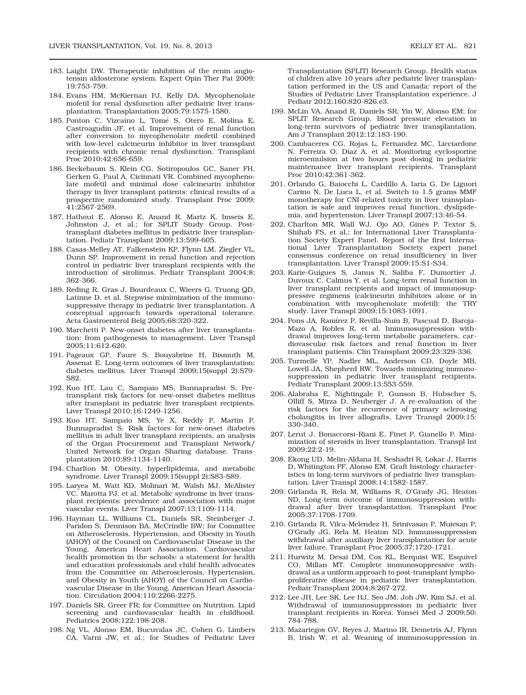- 183. Laight DW. Therapeutic inhibition of the renin angiotensin aldosterone system. Expert Opin Ther Pat 2009; 19:753-759.
- 184. Evans HM, McKiernan PJ, Kelly DA. Mycophenolate mofetil for renal dysfunction after pediatric liver transplantation. Transplantation 2005;79:1575-1580.
- 185. Ponton C, Vizcaíno L, Tomé S, Otero E, Molina E, Castroagudín JF, et al. Improvement of renal function after conversion to mycophenolate mofetil combined with low-level calcineurin inhibitor in liver transplant recipients with chronic renal dysfunction. Transplant Proc 2010;42:656-659.
- 186. Beckebaum S, Klein CG, Sotiropoulos GC, Saner FH, Gerken G, Paul A, Cicinnati VR. Combined mycophenolate mofetil and minimal dose calcineurin inhibitor therapy in liver transplant patients: clinical results of a prospective randomized study. Transplant Proc 2009; 41:2567-2569.
- 187. Hathout E, Alonso E, Anand R, Martz K, Imseis E, Johnston J, et al.; for SPLIT Study Group. Posttransplant diabetes mellitus in pediatric liver transplantation. Pediatr Transplant 2009;13:599-605.
- 188. Casas-Melley AT, Falkenstein KP, Flynn LM, Ziegler VL, Dunn SP. Improvement in renal function and rejection control in pediatric liver transplant recipients with the introduction of sirolimus. Pediatr Transplant 2004;8: 362-366.
- 189. Reding R, Gras J, Bourdeaux C, Wieers G, Truong QD, Latinne D, et al. Stepwise minimization of the immunosuppressive therapy in pediatric liver transplantation. A conceptual approach towards operational tolerance. Acta Gastroenterol Belg 2005;68:320-322.
- 190. Marchetti P. New-onset diabetes after liver transplantation: from pathogenesis to management. Liver Transpl 2005;11:612-620.
- 191. Pageaux GP, Faure S, Bouyabrine H, Bismuth M, Assenat E. Long-term outcomes of liver transplantation: diabetes mellitus. Liver Transpl 2009;15(suppl 2):S79- S82.
- 192. Kuo HT, Lau C, Sampaio MS, Bunnapradist S. Pretransplant risk factors for new-onset diabetes mellitus after transplant in pediatric liver transplant recipients. Liver Transpl 2010;16:1249-1256.
- 193. Kuo HT, Sampaio MS, Ye X, Reddy P, Martin P, Bunnapradist S. Risk factors for new-onset diabetes mellitus in adult liver transplant recipients, an analysis of the Organ Procurement and Transplant Network/ United Network for Organ Sharing database. Transplantation 2010;89:1134-1140.
- 194. Charlton M. Obesity, hyperlipidemia, and metabolic syndrome. Liver Transpl 2009;15(suppl 2):S83-S89.
- 195. Laryea M, Watt KD, Molinari M, Walsh MJ, McAlister VC, Marotta PJ, et al. Metabolic syndrome in liver transplant recipients: prevalence and association with major vascular events. Liver Transpl 2007;13:1109-1114.
- 196. Hayman LL, Williams CL, Daniels SR, Steinberger J, Paridon S, Dennison BA, McCrindle BW; for Committee on Atherosclerosis, Hypertension, and Obesity in Youth (AHOY) of the Council on Cardiovascular Disease in the Young, American Heart Association. Cardiovascular health promotion in the schools: a statement for health and education professionals and child health advocates from the Committee on Atherosclerosis, Hypertension, and Obesity in Youth (AHOY) of the Council on Cardiovascular Disease in the Young, American Heart Association. Circulation 2004;110:2266-2275.
- 197. Daniels SR, Greer FR; for Committee on Nutrition. Lipid screening and cardiovascular health in childhood. Pediatrics 2008;122:198-208.
- 198. Ng VL, Alonso EM, Bucuvalas JC, Cohen G, Limbers CA, Varni JW, et al.; for Studies of Pediatric Liver

Transplantation (SPLIT) Research Group. Health status of children alive 10 years after pediatric liver transplantation performed in the US and Canada: report of the Studies of Pediatric Liver Transplantation experience. J Pediatr 2012;160:820-826.e3.

- 199. McLin VA, Anand R, Daniels SR, Yin W, Alonso EM; for SPLIT Research Group. Blood pressure elevation in long-term survivors of pediatric liver transplantation. Am J Transplant 2012;12:183-190.
- 200. Cambaceres CG, Rojas L, Fernandez MC, Licciardone N, Ferreira O, Diaz A, et al. Monitoring cyclosporine microemulsion at two hours post dosing in pediatric maintenance liver transplant recipients. Transplant Proc 2010;42:361-362.
- 201. Orlando G, Baiocchi L, Cardillo A, Iaria G, De Liguori Carino N, De Luca L, et al. Switch to 1.5 grams MMF monotherapy for CNI-related toxicity in liver transplantation is safe and improves renal function, dyslipidemia, and hypertension. Liver Transpl 2007;13:46-54.
- 202. Charlton MR, Wall WJ, Ojo AO, Ginès P, Textor S, Shihab FS, et al.; for International Liver Transplantation Society Expert Panel. Report of the first International Liver Transplantation Society expert panel consensus conference on renal insufficiency in liver transplantation. Liver Transpl 2009;15:S1-S34.
- 203. Karie-Guigues S, Janus N, Saliba F, Dumortier J, Duvoux C, Calmus Y, et al. Long-term renal function in liver transplant recipients and impact of immunosuppressive regimens (calcineurin inhibitors alone or in combination with mycophenolate mofetil): the TRY study. Liver Transpl 2009;15:1083-1091.
- 204. Pons JA, Ramírez P, Revilla-Nuin B, Pascual D, Baroja-Mazo A, Robles R, et al. Immunosuppression withdrawal improves long-term metabolic parameters, cardiovascular risk factors and renal function in liver transplant patients. Clin Transplant 2009;23:329-336.
- 205. Turmelle YP, Nadler ML, Anderson CD, Doyle MB, Lowell JA, Shepherd RW. Towards minimizing immunosuppression in pediatric liver transplant recipients. Pediatr Transplant 2009;13:553-559.
- 206. Alabraba E, Nightingale P, Gunson B, Hubscher S, Olliff S, Mirza D, Neuberger J. A re-evaluation of the risk factors for the recurrence of primary sclerosing cholangitis in liver allografts. Liver Transpl 2009;15: 330-340.
- 207. Lerut J, Bonaccorsi-Riani E, Finet P, Gianello P. Minimization of steroids in liver transplantation. Transpl Int 2009;22:2-19.
- 208. Ekong UD, Melin-Aldana H, Seshadri R, Lokar J, Harris D, Whitington PF, Alonso EM. Graft histology characteristics in long-term survivors of pediatric liver transplantation. Liver Transpl 2008;14:1582-1587.
- 209. Girlanda R, Rela M, Williams R, O'Grady JG, Heaton ND. Long-term outcome of immunosuppression withdrawal after liver transplantation. Transplant Proc 2005;37:1708-1709.
- 210. Girlanda R, Vilca-Melendez H, Srinivasan P, Muiesan P, O'Grady JG, Rela M, Heaton ND. Immunosuppression withdrawal after auxiliary liver transplantation for acute liver failure. Transplant Proc 2005;37:1720-1721.
- 211. Hurwitz M, Desai DM, Cox KL, Berquist WE, Esquivel CO, Millan MT. Complete immunosuppressive withdrawal as a uniform approach to post-transplant lymphoproliferative disease in pediatric liver transplantation. Pediatr Transplant 2004;8:267-272.
- 212. Lee JH, Lee SK, Lee HJ, Seo JM, Joh JW, Kim SJ, et al. Withdrawal of immunosuppression in pediatric liver transplant recipients in Korea. Yonsei Med J 2009;50: 784-788.
- 213. Mazariegos GV, Reyes J, Marino IR, Demetris AJ, Flynn B, Irish W, et al. Weaning of immunosuppression in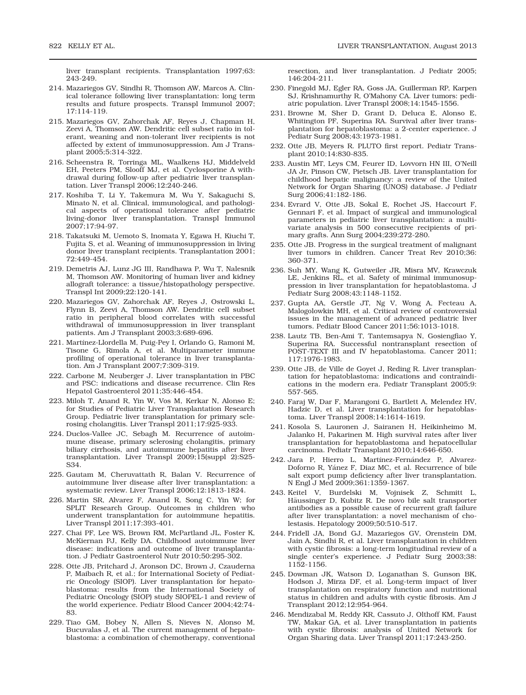liver transplant recipients. Transplantation 1997;63: 243-249.

- 214. Mazariegos GV, Sindhi R, Thomson AW, Marcos A. Clinical tolerance following liver transplantation: long term results and future prospects. Transpl Immunol 2007; 17:114-119.
- 215. Mazariegos GV, Zahorchak AF, Reyes J, Chapman H, Zeevi A, Thomson AW. Dendritic cell subset ratio in tolerant, weaning and non-tolerant liver recipients is not affected by extent of immunosuppression. Am J Transplant 2005;5:314-322.
- 216. Scheenstra R, Torringa ML, Waalkens HJ, Middelveld EH, Peeters PM, Slooff MJ, et al. Cyclosporine A withdrawal during follow-up after pediatric liver transplantation. Liver Transpl 2006;12:240-246.
- 217. Koshiba T, Li Y, Takemura M, Wu Y, Sakaguchi S, Minato N, et al. Clinical, immunological, and pathological aspects of operational tolerance after pediatric living-donor liver transplantation. Transpl Immunol 2007;17:94-97.
- 218. Takatsuki M, Uemoto S, Inomata Y, Egawa H, Kiuchi T, Fujita S, et al. Weaning of immunosuppression in living donor liver transplant recipients. Transplantation 2001; 72:449-454.
- 219. Demetris AJ, Lunz JG III, Randhawa P, Wu T, Nalesnik M, Thomson AW. Monitoring of human liver and kidney allograft tolerance: a tissue/histopathology perspective. Transpl Int 2009;22:120-141.
- 220. Mazariegos GV, Zahorchak AF, Reyes J, Ostrowski L, Flynn B, Zeevi A, Thomson AW. Dendritic cell subset ratio in peripheral blood correlates with successful withdrawal of immunosuppression in liver transplant patients. Am J Transplant 2003;3:689-696.
- 221. Martínez-Llordella M, Puig-Pey I, Orlando G, Ramoni M, Tisone G, Rimola A, et al. Multiparameter immune profiling of operational tolerance in liver transplantation. Am J Transplant 2007;7:309-319.
- 222. Carbone M, Neuberger J. Liver transplantation in PBC and PSC: indications and disease recurrence. Clin Res Hepatol Gastroenterol 2011;35:446-454.
- 223. Miloh T, Anand R, Yin W, Vos M, Kerkar N, Alonso E; for Studies of Pediatric Liver Transplantation Research Group. Pediatric liver transplantation for primary sclerosing cholangitis. Liver Transpl 2011;17:925-933.
- 224. Duclos-Vallee JC, Sebagh M. Recurrence of autoimmune disease, primary sclerosing cholangitis, primary biliary cirrhosis, and autoimmune hepatitis after liver transplantation. Liver Transpl 2009;15(suppl 2):S25- S34.
- 225. Gautam M, Cheruvattath R, Balan V. Recurrence of autoimmune liver disease after liver transplantation: a systematic review. Liver Transpl 2006;12:1813-1824.
- 226. Martin SR, Alvarez F, Anand R, Song C, Yin W; for SPLIT Research Group. Outcomes in children who underwent transplantation for autoimmune hepatitis. Liver Transpl 2011;17:393-401.
- 227. Chai PF, Lee WS, Brown RM, McPartland JL, Foster K, McKiernan PJ, Kelly DA. Childhood autoimmune liver disease: indications and outcome of liver transplantation. J Pediatr Gastroenterol Nutr 2010;50:295-302.
- 228. Otte JB, Pritchard J, Aronson DC, Brown J, Czauderna P, Maibach R, et al.; for International Society of Pediatric Oncology (SIOP). Liver transplantation for hepatoblastoma: results from the International Society of Pediatric Oncology (SIOP) study SIOPEL-1 and review of the world experience. Pediatr Blood Cancer 2004;42:74- 83.
- 229. Tiao GM, Bobey N, Allen S, Nieves N, Alonso M, Bucuvalas J, et al. The current management of hepatoblastoma: a combination of chemotherapy, conventional

resection, and liver transplantation. J Pediatr 2005; 146:204-211.

- 230. Finegold MJ, Egler RA, Goss JA, Guillerman RP, Karpen SJ, Krishnamurthy R, O'Mahony CA. Liver tumors: pediatric population. Liver Transpl 2008;14:1545-1556.
- 231. Browne M, Sher D, Grant D, Deluca E, Alonso E, Whitington PF, Superina RA. Survival after liver transplantation for hepatoblastoma: a 2-center experience. J Pediatr Surg 2008;43:1973-1981.
- 232. Otte JB, Meyers R. PLUTO first report. Pediatr Transplant 2010;14:830-835.
- 233. Austin MT, Leys CM, Feurer ID, Lovvorn HN III, O'Neill JA Jr, Pinson CW, Pietsch JB. Liver transplantation for childhood hepatic malignancy: a review of the United Network for Organ Sharing (UNOS) database. J Pediatr Surg 2006;41:182-186.
- 234. Evrard V, Otte JB, Sokal E, Rochet JS, Haccourt F, Gennari F, et al. Impact of surgical and immunological parameters in pediatric liver transplantation: a multivariate analysis in 500 consecutive recipients of primary grafts. Ann Surg 2004;239:272-280.
- 235. Otte JB. Progress in the surgical treatment of malignant liver tumors in children. Cancer Treat Rev 2010;36: 360-371.
- 236. Suh MY, Wang K, Gutweiler JR, Misra MV, Krawczuk LE, Jenkins RL, et al. Safety of minimal immunosuppression in liver transplantation for hepatoblastoma. J Pediatr Surg 2008;43:1148-1152.
- 237. Gupta AA, Gerstle JT, Ng V, Wong A, Fecteau A, Malogolowkin MH, et al. Critical review of controversial issues in the management of advanced pediatric liver tumors. Pediatr Blood Cancer 2011;56:1013-1018.
- 238. Lautz TB, Ben-Ami T, Tantemsapya N, Gosiengfiao Y, Superina RA. Successful nontransplant resection of POST-TEXT III and IV hepatoblastoma. Cancer 2011; 117:1976-1983.
- 239. Otte JB, de Ville de Goyet J, Reding R. Liver transplantation for hepatoblastoma: indications and contraindications in the modern era. Pediatr Transplant 2005;9: 557-565.
- 240. Faraj W, Dar F, Marangoni G, Bartlett A, Melendez HV, Hadzic D, et al. Liver transplantation for hepatoblastoma. Liver Transpl 2008;14:1614-1619.
- 241. Kosola S, Lauronen J, Sairanen H, Heikinheimo M, Jalanko H, Pakarinen M. High survival rates after liver transplantation for hepatoblastoma and hepatocellular carcinoma. Pediatr Transplant 2010;14:646-650.
- 242. Jara P, Hierro L, Martínez-Fernández P, Alvarez-Doforno R, Yánez F, Diaz MC, et al. Recurrence of bile salt export pump deficiency after liver transplantation. N Engl J Med 2009;361:1359-1367.
- 243. Keitel V, Burdelski M, Vojnisek Z, Schmitt L, Häussinger D, Kubitz R. De novo bile salt transporter antibodies as a possible cause of recurrent graft failure after liver transplantation: a novel mechanism of cholestasis. Hepatology 2009;50:510-517.
- 244. Fridell JA, Bond GJ, Mazariegos GV, Orenstein DM, Jain A, Sindhi R, et al. Liver transplantation in children with cystic fibrosis: a long-term longitudinal review of a single center's experience. J Pediatr Surg 2003;38: 1152-1156.
- 245. Dowman JK, Watson D, Loganathan S, Gunson BK, Hodson J, Mirza DF, et al. Long-term impact of liver transplantation on respiratory function and nutritional status in children and adults with cystic fibrosis. Am J Transplant 2012;12:954-964.
- 246. Mendizabal M, Reddy KR, Cassuto J, Olthoff KM, Faust TW, Makar GA, et al. Liver transplantation in patients with cystic fibrosis: analysis of United Network for Organ Sharing data. Liver Transpl 2011;17:243-250.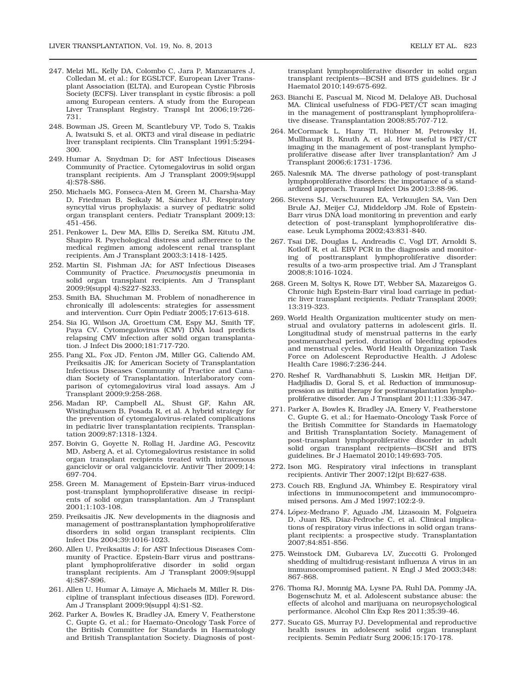- 247. Melzi ML, Kelly DA, Colombo C, Jara P, Manzanares J, Colledan M, et al.; for EGSLTCF, European Liver Transplant Association (ELTA), and European Cystic Fibrosis Society (ECFS). Liver transplant in cystic fibrosis: a poll among European centers. A study from the European Liver Transplant Registry. Transpl Int 2006;19:726- 731.
- 248. Bowman JS, Green M, Scantlebury VP, Todo S, Tzakis A, Iwatsuki S, et al. OKT3 and viral disease in pediatric liver transplant recipients. Clin Transplant 1991;5:294- 300.
- 249. Humar A, Snydman D; for AST Infectious Diseases Community of Practice. Cytomegalovirus in solid organ transplant recipients. Am J Transplant 2009;9(suppl 4):S78-S86.
- 250. Michaels MG, Fonseca-Aten M, Green M, Charsha-May D, Friedman B, Seikaly M, Sánchez PJ. Respiratory syncytial virus prophylaxis: a survey of pediatric solid organ transplant centers. Pediatr Transplant 2009;13: 451-456.
- 251. Penkower L, Dew MA, Ellis D, Sereika SM, Kitutu JM, Shapiro R. Psychological distress and adherence to the medical regimen among adolescent renal transplant recipients. Am J Transplant 2003;3:1418-1425.
- 252. Martin SI, Fishman JA; for AST Infectious Diseases Community of Practice. Pneumocystis pneumonia in solid organ transplant recipients. Am J Transplant 2009;9(suppl 4):S227-S233.
- 253. Smith BA, Shuchman M. Problem of nonadherence in chronically ill adolescents: strategies for assessment and intervention. Curr Opin Pediatr 2005;17:613-618.
- 254. Sia IG, Wilson JA, Groettum CM, Espy MJ, Smith TF, Paya CV. Cytomegalovirus (CMV) DNA load predicts relapsing CMV infection after solid organ transplantation. J Infect Dis 2000;181:717-720.
- 255. Pang XL, Fox JD, Fenton JM, Miller GG, Caliendo AM, Preiksaitis JK; for American Society of Transplantation Infectious Diseases Community of Practice and Canadian Society of Transplantation. Interlaboratory comparison of cytomegalovirus viral load assays. Am J Transplant 2009;9:258-268.
- 256. Madan RP, Campbell AL, Shust GF, Kahn AR, Wistinghausen B, Posada R, et al. A hybrid strategy for the prevention of cytomegalovirus-related complications in pediatric liver transplantation recipients. Transplantation 2009;87:1318-1324.
- 257. Boivin G, Goyette N, Rollag H, Jardine AG, Pescovitz MD, Asberg A, et al. Cytomegalovirus resistance in solid organ transplant recipients treated with intravenous ganciclovir or oral valganciclovir. Antivir Ther 2009;14: 697-704.
- 258. Green M. Management of Epstein-Barr virus-induced post-transplant lymphoproliferative disease in recipients of solid organ transplantation. Am J Transplant 2001;1:103-108.
- 259. Preiksaitis JK. New developments in the diagnosis and management of posttransplantation lymphoproliferative disorders in solid organ transplant recipients. Clin Infect Dis 2004;39:1016-1023.
- 260. Allen U, Preiksaitis J; for AST Infectious Diseases Community of Practice. Epstein-Barr virus and posttransplant lymphoproliferative disorder in solid organ transplant recipients. Am J Transplant 2009;9(suppl 4):S87-S96.
- 261. Allen U, Humar A, Limaye A, Michaels M, Miller R. Discipline of transplant infectious diseases (ID). Foreword. Am J Transplant 2009;9(suppl 4):S1-S2.
- 262. Parker A, Bowles K, Bradley JA, Emery V, Featherstone C, Gupte G, et al.; for Haemato-Oncology Task Force of the British Committee for Standards in Haematology and British Transplantation Society. Diagnosis of post-

transplant lymphoproliferative disorder in solid organ transplant recipients—BCSH and BTS guidelines. Br J Haematol 2010;149:675-692.

- 263. Bianchi E, Pascual M, Nicod M, Delaloye AB, Duchosal MA. Clinical usefulness of FDG-PET/CT scan imaging in the management of posttransplant lymphoproliferative disease. Transplantation 2008;85:707-712.
- 264. McCormack L, Hany TI, Hübner M, Petrowsky H, Mullhaupt B, Knuth A, et al. How useful is PET/CT imaging in the management of post-transplant lymphoproliferative disease after liver transplantation? Am J Transplant 2006;6:1731-1736.
- 265. Nalesnik MA. The diverse pathology of post-transplant lymphoproliferative disorders: the importance of a standardized approach. Transpl Infect Dis 2001;3:88-96.
- 266. Stevens SJ, Verschuuren EA, Verkuujlen SA, Van Den Brule AJ, Meijer CJ, Middeldorp JM. Role of Epstein-Barr virus DNA load monitoring in prevention and early detection of post-transplant lymphoproliferative disease. Leuk Lymphoma 2002;43:831-840.
- 267. Tsai DE, Douglas L, Andreadis C, Vogl DT, Arnoldi S, Kotloff R, et al. EBV PCR in the diagnosis and monitoring of posttransplant lymphoproliferative disorder: results of a two-arm prospective trial. Am J Transplant 2008;8:1016-1024.
- 268. Green M, Soltys K, Rowe DT, Webber SA, Mazareigos G. Chronic high Epstein-Barr viral load carriage in pediatric liver transplant recipients. Pediatr Transplant 2009; 13:319-323.
- 269. World Health Organization multicenter study on menstrual and ovulatory patterns in adolescent girls. II. Longitudinal study of menstrual patterns in the early postmenarcheal period, duration of bleeding episodes and menstrual cycles. World Health Organization Task Force on Adolescent Reproductive Health. J Adolesc Health Care 1986;7:236-244.
- 270. Reshef R, Vardhanabhuti S, Luskin MR, Heitjan DF, Hadjiliadis D, Goral S, et al. Reduction of immunosuppression as initial therapy for posttransplantation lymphoproliferative disorder. Am J Transplant 2011;11:336-347.
- 271. Parker A, Bowles K, Bradley JA, Emery V, Featherstone C, Gupte G, et al.; for Haemato-Oncology Task Force of the British Committee for Standards in Haematology and British Transplantation Society. Management of post-transplant lymphoproliferative disorder in adult solid organ transplant recipients—BCSH and BTS guidelines. Br J Haematol 2010;149:693-705.
- 272. Ison MG. Respiratory viral infections in transplant recipients. Antivir Ther 2007;12(pt B):627-638.
- 273. Couch RB, Englund JA, Whimbey E. Respiratory viral infections in immunocompetent and immunocompromised persons. Am J Med 1997;102:2-9.
- 274. López-Medrano F, Aguado JM, Lizasoain M, Folgueira D, Juan RS, Díaz-Pedroche C, et al. Clinical implications of respiratory virus infections in solid organ transplant recipients: a prospective study. Transplantation 2007;84:851-856.
- 275. Weinstock DM, Gubareva LV, Zuccotti G. Prolonged shedding of multidrug-resistant influenza A virus in an immunocompromised patient. N Engl J Med 2003;348: 867-868.
- 276. Thoma RJ, Monnig MA, Lysne PA, Ruhl DA, Pommy JA, Bogenschutz M, et al. Adolescent substance abuse: the effects of alcohol and marijuana on neuropsychological performance. Alcohol Clin Exp Res 2011;35:39-46.
- 277. Sucato GS, Murray PJ. Developmental and reproductive health issues in adolescent solid organ transplant recipients. Semin Pediatr Surg 2006;15:170-178.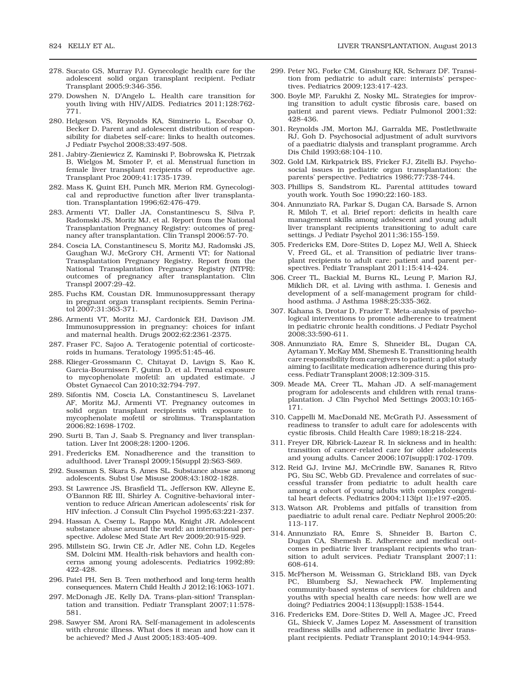- 278. Sucato GS, Murray PJ. Gynecologic health care for the adolescent solid organ transplant recipient. Pediatr Transplant 2005;9:346-356.
- 279. Dowshen N, D'Angelo L. Health care transition for youth living with HIV/AIDS. Pediatrics 2011;128:762- 771.
- 280. Helgeson VS, Reynolds KA, Siminerio L, Escobar O, Becker D. Parent and adolescent distribution of responsibility for diabetes self-care: links to health outcomes. J Pediatr Psychol 2008;33:497-508.
- 281. Jabiry-Zieniewicz Z, Kaminski P, Bobrowska K, Pietrzak B, Wielgos M, Smoter P, et al. Menstrual function in female liver transplant recipients of reproductive age. Transplant Proc 2009;41:1735-1739.
- 282. Mass K, Quint EH, Punch MR, Merion RM. Gynecological and reproductive function after liver transplantation. Transplantation 1996;62:476-479.
- 283. Armenti VT, Daller JA, Constantinescu S, Silva P, Radomski JS, Moritz MJ, et al. Report from the National Transplantation Pregnancy Registry: outcomes of pregnancy after transplantation. Clin Transpl 2006:57-70.
- 284. Coscia LA, Constantinescu S, Moritz MJ, Radomski JS, Gaughan WJ, McGrory CH, Armenti VT; for National Transplantation Pregnancy Registry. Report from the National Transplantation Pregnancy Registry (NTPR): outcomes of pregnancy after transplantation. Clin Transpl 2007:29-42.
- 285. Fuchs KM, Coustan DR. Immunosuppressant therapy in pregnant organ transplant recipients. Semin Perinatol 2007;31:363-371.
- 286. Armenti VT, Moritz MJ, Cardonick EH, Davison JM. Immunosuppression in pregnancy: choices for infant and maternal health. Drugs 2002;62:2361-2375.
- 287. Fraser FC, Sajoo A. Teratogenic potential of corticosteroids in humans. Teratology 1995;51:45-46.
- 288. Klieger-Grossmann C, Chitayat D, Lavign S, Kao K, Garcia-Bournissen F, Quinn D, et al. Prenatal exposure to mycophenolate mofetil: an updated estimate. J Obstet Gynaecol Can 2010;32:794-797.
- 289. Sifontis NM, Coscia LA, Constantinescu S, Lavelanet AF, Moritz MJ, Armenti VT. Pregnancy outcomes in solid organ transplant recipients with exposure to mycophenolate mofetil or sirolimus. Transplantation 2006;82:1698-1702.
- 290. Surti B, Tan J, Saab S. Pregnancy and liver transplantation. Liver Int 2008;28:1200-1206.
- 291. Fredericks EM. Nonadherence and the transition to adulthood. Liver Transpl 2009;15(suppl 2):S63-S69.
- 292. Sussman S, Skara S, Ames SL. Substance abuse among adolescents. Subst Use Misuse 2008;43:1802-1828.
- 293. St Lawrence JS, Brasfield TL, Jefferson KW, Alleyne E, O'Bannon RE III, Shirley A. Cognitive-behavioral intervention to reduce African American adolescents' risk for HIV infection. J Consult Clin Psychol 1995;63:221-237.
- 294. Hassan A, Csemy L, Rappo MA, Knight JR. Adolescent substance abuse around the world: an international perspective. Adolesc Med State Art Rev 2009;20:915-929.
- 295. Millstein SG, Irwin CE Jr, Adler NE, Cohn LD, Kegeles SM, Dolcini MM. Health-risk behaviors and health concerns among young adolescents. Pediatrics 1992;89: 422-428.
- 296. Patel PH, Sen B. Teen motherhood and long-term health consequences. Matern Child Health J 2012;16:1063-1071.
- 297. McDonagh JE, Kelly DA. Trans-plan-sition! Transplantation and transition. Pediatr Transplant 2007;11:578- 581.
- 298. Sawyer SM, Aroni RA. Self-management in adolescents with chronic illness. What does it mean and how can it be achieved? Med J Aust 2005;183:405-409.
- 299. Peter NG, Forke CM, Ginsburg KR, Schwarz DF. Transition from pediatric to adult care: internists' perspectives. Pediatrics 2009;123:417-423.
- 300. Boyle MP, Farukhi Z, Nosky ML. Strategies for improving transition to adult cystic fibrosis care, based on patient and parent views. Pediatr Pulmonol 2001;32: 428-436.
- 301. Reynolds JM, Morton MJ, Garralda ME, Postlethwaite RJ, Goh D. Psychosocial adjustment of adult survivors of a paediatric dialysis and transplant programme. Arch Dis Child 1993;68:104-110.
- 302. Gold LM, Kirkpatrick BS, Fricker FJ, Zitelli BJ. Psychosocial issues in pediatric organ transplantation: the parents' perspective. Pediatrics 1986;77:738-744.
- 303. Phillips S, Sandstrom KL. Parental attitudes toward youth work. Youth Soc 1990;22:160-183.
- 304. Annunziato RA, Parkar S, Dugan CA, Barsade S, Arnon R, Miloh T, et al. Brief report: deficits in health care management skills among adolescent and young adult liver transplant recipients transitioning to adult care settings. J Pediatr Psychol 2011;36:155-159.
- 305. Fredericks EM, Dore-Stites D, Lopez MJ, Well A, Shieck V, Freed GL, et al. Transition of pediatric liver transplant recipients to adult care: patient and parent perspectives. Pediatr Transplant 2011;15:414-424.
- 306. Creer TL, Backial M, Burns KL, Leung P, Marion RJ, Miklich DR, et al. Living with asthma. I. Genesis and development of a self-management program for childhood asthma. J Asthma 1988;25:335-362.
- 307. Kahana S, Drotar D, Frazier T. Meta-analysis of psychological interventions to promote adherence to treatment in pediatric chronic health conditions. J Pediatr Psychol 2008;33:590-611.
- 308. Annunziato RA, Emre S, Shneider BL, Dugan CA, Aytaman Y, McKay MM, Shemesh E. Transitioning health care responsibility from caregivers to patient: a pilot study aiming to facilitate medication adherence during this process. Pediatr Transplant 2008;12:309-315.
- 309. Meade MA, Creer TL, Mahan JD. A self-management program for adolescents and children with renal transplantation. J Clin Psychol Med Settings 2003;10:165- 171.
- 310. Cappelli M, MacDonald NE, McGrath PJ. Assessment of readiness to transfer to adult care for adolescents with cystic fibrosis. Child Health Care 1989;18:218-224.
- 311. Freyer DR, Kibrick-Lazear R. In sickness and in health: transition of cancer-related care for older adolescents and young adults. Cancer 2006;107(suppl):1702-1709.
- 312. Reid GJ, Irvine MJ, McCrindle BW, Sananes R, Ritvo PG, Siu SC, Webb GD. Prevalence and correlates of successful transfer from pediatric to adult health care among a cohort of young adults with complex congenital heart defects. Pediatrics 2004;113(pt 1):e197-e205.
- 313. Watson AR. Problems and pitfalls of transition from paediatric to adult renal care. Pediatr Nephrol 2005;20: 113-117.
- 314. Annunziato RA, Emre S, Shneider B, Barton C, Dugan CA, Shemesh E. Adherence and medical outcomes in pediatric liver transplant recipients who transition to adult services. Pediatr Transplant 2007;11: 608-614.
- 315. McPherson M, Weissman G, Strickland BB, van Dyck PC, Blumberg SJ, Newacheck PW. Implementing community-based systems of services for children and youths with special health care needs: how well are we doing? Pediatrics 2004;113(suppl):1538-1544.
- 316. Fredericks EM, Dore-Stites D, Well A, Magee JC, Freed GL, Shieck V, James Lopez M. Assessment of transition readiness skills and adherence in pediatric liver transplant recipients. Pediatr Transplant 2010;14:944-953.